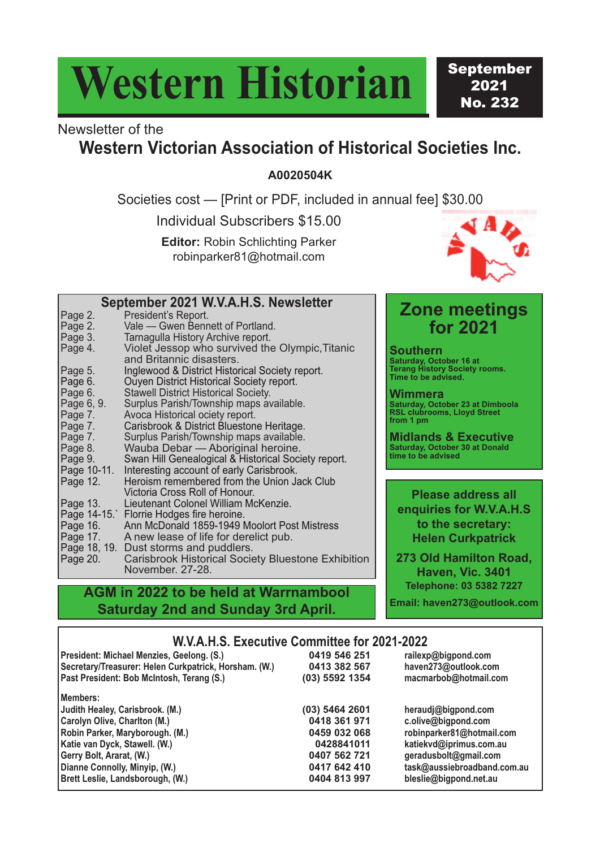# **Western Historian**

September 2021 No. 232

## Newsletter of the

### **Western Victorian Association of Historical Societies Inc.**

**A0020504K**

Societies cost — [Print or PDF, included in annual fee] \$30.00

Individual Subscribers \$15.00

**Editor:** Robin Schlichting Parker robinparker81@hotmail.com



#### **Zone meetings for 2021 Southern**

**Saturday, October 16 at Terang History Society rooms. Time to be advised.**

**Wimmera Saturday, October 23 at Dimboola RSL clubrooms, Lloyd Street from 1 pm**

**Midlands & Executive Saturday, October 30 at Donald time to be advised**

**Please address all enquiries for W.V.A.H.S to the secretary: Helen Curkpatrick**

**273 Old Hamilton Road, Haven, Vic. 3401 Telephone: 03 5382 7227**

**Email: haven273@outlook.com**

| Page 2.    | President's Report.                                       |
|------------|-----------------------------------------------------------|
| Page 2.    | Vale - Gwen Bennett of Portland.                          |
| Page 3.    | Tarnagulla History Archive report.                        |
| Page 4.    | Violet Jessop who survived the Olympic, Titanic           |
|            | and Britannic disasters.                                  |
| Page 5.    | Inglewood & District Historical Society report.           |
| Page 6.    | Ouyen District Historical Society report.                 |
| Page 6.    | <b>Stawell District Historical Society.</b>               |
| Page 6, 9. | Surplus Parish/Township maps available.                   |
| Page 7.    | Avoca Historical ociety report.                           |
| Page 7.    | Carisbrook & District Bluestone Heritage.                 |
| Page 7.    | Surplus Parish/Township maps available.                   |
| Page 8.    | Wauba Debar - Aboriginal heroine.                         |
| Page 9.    | Swan Hill Genealogical & Historical Society report.       |
|            | Page 10-11. Interesting account of early Carisbrook.      |
| Page 12.   | Heroism remembered from the Union Jack Club               |
|            | Victoria Cross Roll of Honour.                            |
| Page 13.   | Lieutenant Colonel William McKenzie.                      |
|            | Page 14-15. Florrie Hodges fire heroine.                  |
| Page 16.   | Ann McDonald 1859-1949 Moolort Post Mistress              |
|            | Page 17. A new lease of life for derelict pub.            |
|            | Page 18, 19. Dust storms and puddlers.                    |
| Page 20.   | <b>Carisbrook Historical Society Bluestone Exhibition</b> |
|            | November. 27-28.                                          |

**September 2021 W.V.A.H.S. Newsletter**

#### **AGM in 2022 to be held at Warrnambool Saturday 2nd and Sunday 3rd April.**

#### **W.V.A.H.S. Executive Committee for 2021-2022**

| President: Michael Menzies, Geelong. (S.)             | 0419 546 251   | railexp@bigpond.com         |
|-------------------------------------------------------|----------------|-----------------------------|
| Secretary/Treasurer: Helen Curkpatrick, Horsham. (W.) | 0413 382 567   | haven273@outlook.com        |
| Past President: Bob McIntosh, Terang (S.)             | (03) 5592 1354 | macmarbob@hotmail.com       |
| Members:                                              |                |                             |
| Judith Healey, Carisbrook. (M.)                       | (03) 5464 2601 | heraudj@bigpond.com         |
| Carolyn Olive, Charlton (M.)                          | 0418 361 971   | c.olive@bigpond.com         |
| Robin Parker, Maryborough. (M.)                       | 0459 032 068   | robinparker81@hotmail.com   |
| Katie van Dyck, Stawell. (W.)                         | 0428841011     | katiekvd@iprimus.com.au     |
| Gerry Bolt, Ararat, (W.)                              | 0407 562 721   | geradusbolt@gmail.com       |
| Dianne Connolly, Minyip, (W.)                         | 0417 642 410   | task@aussiebroadband.com.au |
| Brett Leslie, Landsborough, (W.)                      | 0404 813 997   | bleslie@bigpond.net.au      |
|                                                       |                |                             |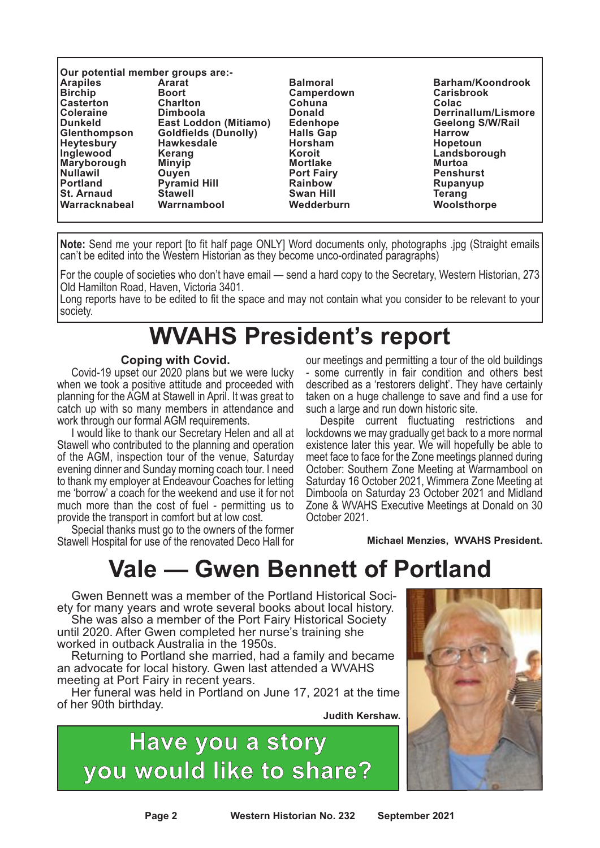| Our potential member groups are:- |                              |                   |                         |  |  |  |
|-----------------------------------|------------------------------|-------------------|-------------------------|--|--|--|
| <b>Arapiles</b>                   | <b>Ararat</b>                | <b>Balmoral</b>   | <b>Barham/Koondrook</b> |  |  |  |
| <b>Birchip</b>                    | <b>Boort</b>                 | Camperdown        | <b>Carisbrook</b>       |  |  |  |
| <b>Casterton</b>                  | <b>Charlton</b>              | Cohuna            | Colac                   |  |  |  |
| <b>Coleraine</b>                  | <b>Dimboola</b>              | <b>Donald</b>     | Derrinallum/Lismore     |  |  |  |
| <b>IDunkeld</b>                   | <b>East Loddon (Mitiamo)</b> | <b>Edenhope</b>   | <b>Geelong S/W/Rail</b> |  |  |  |
| Glenthompson                      | <b>Goldfields (Dunolly)</b>  | <b>Halls Gap</b>  | <b>Harrow</b>           |  |  |  |
| <b>Heytesbury</b>                 | <b>Hawkesdale</b>            | <b>Horsham</b>    | <b>Hopetoun</b>         |  |  |  |
| Inglewood                         | <b>Kerang</b>                | Koroit            | Landsborough            |  |  |  |
| Maryborough                       | <b>Minyip</b>                | <b>Mortlake</b>   | <b>Murtoa</b>           |  |  |  |
| Nullawil                          | Ouven                        | <b>Port Fairy</b> | <b>Penshurst</b>        |  |  |  |
| <b>IPortland</b>                  | <b>Pyramid Hill</b>          | <b>Rainbow</b>    | Rupanyup                |  |  |  |
| <b>St. Arnaud</b>                 | <b>Stawell</b>               | <b>Swan Hill</b>  | Terang                  |  |  |  |
| <b>Warracknabeal</b>              | Warrnambool                  | Wedderburn        | Woolsthorpe             |  |  |  |

**Note:** Send me your report [to fit half page ONLY] Word documents only, photographs .jpg (Straight emails can't be edited into the Western Historian as they become unco-ordinated paragraphs)

For the couple of societies who don't have email — send a hard copy to the Secretary, Western Historian, 273 Old Hamilton Road, Haven, Victoria 3401.

Long reports have to be edited to fit the space and may not contain what you consider to be relevant to your society.

### **WVAHS President's report**

#### **Coping with Covid.**

Covid-19 upset our 2020 plans but we were lucky when we took a positive attitude and proceeded with planning for the AGM at Stawell in April. It was great to catch up with so many members in attendance and work through our formal AGM requirements.

I would like to thank our Secretary Helen and all at Stawell who contributed to the planning and operation of the AGM, inspection tour of the venue, Saturday evening dinner and Sunday morning coach tour. I need to thank my employer at Endeavour Coaches for letting me 'borrow' a coach for the weekend and use it for not much more than the cost of fuel - permitting us to provide the transport in comfort but at low cost.

Special thanks must go to the owners of the former Stawell Hospital for use of the renovated Deco Hall for

our meetings and permitting a tour of the old buildings - some currently in fair condition and others best described as a 'restorers delight'. They have certainly taken on a huge challenge to save and find a use for such a large and run down historic site.

Despite current fluctuating restrictions and lockdowns we may gradually get back to a more normal existence later this year. We will hopefully be able to meet face to face for the Zone meetings planned during October: Southern Zone Meeting at Warrnambool on Saturday 16 October 2021, Wimmera Zone Meeting at Dimboola on Saturday 23 October 2021 and Midland Zone & WVAHS Executive Meetings at Donald on 30 October 2021.

**Michael Menzies, WVAHS President.**

### **Vale — Gwen Bennett of Portland**

Gwen Bennett was a member of the Portland Historical Society for many years and wrote several books about local history.

She was also a member of the Port Fairy Historical Society until 2020. After Gwen completed her nurse's training she worked in outback Australia in the 1950s.

Returning to Portland she married, had a family and became an advocate for local history. Gwen last attended a WVAHS meeting at Port Fairy in recent years.

Her funeral was held in Portland on June 17, 2021 at the time of her 90th birthday.

**Judith Kershaw.**



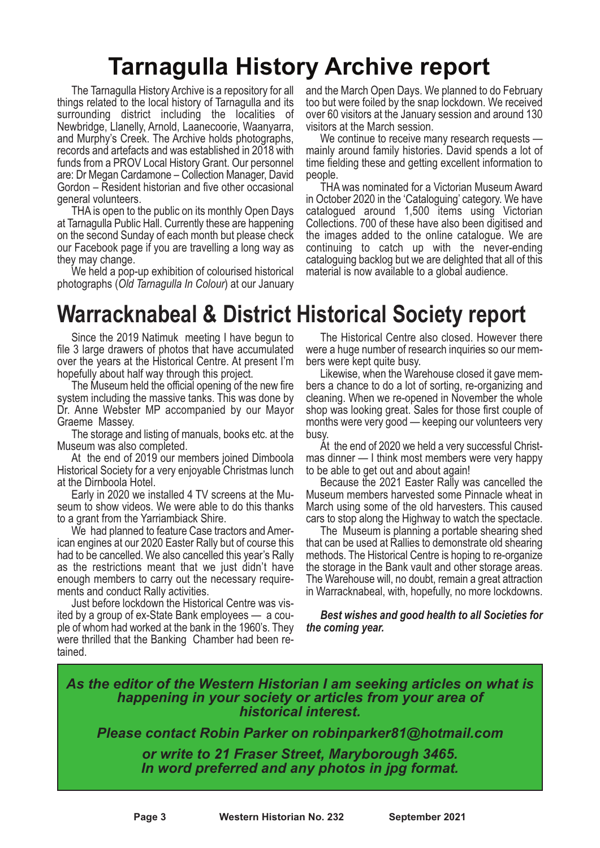### **Tarnagulla History Archive report**

The Tarnagulla History Archive is a repository for all things related to the local history of Tarnagulla and its surrounding district including the localities of Newbridge, Llanelly, Arnold, Laanecoorie, Waanyarra, and Murphy's Creek. The Archive holds photographs, records and artefacts and was established in 2018 with funds from a PROV Local History Grant. Our personnel are: Dr Megan Cardamone – Collection Manager, David Gordon – Resident historian and five other occasional general volunteers.

THA is open to the public on its monthly Open Days at Tarnagulla Public Hall. Currently these are happening on the second Sunday of each month but please check our Facebook page if you are travelling a long way as they may change.

We held a pop-up exhibition of colourised historical photographs (*Old Tarnagulla In Colour*) at our January

and the March Open Days. We planned to do February too but were foiled by the snap lockdown. We received over 60 visitors at the January session and around 130 visitors at the March session.

We continue to receive many research requests mainly around family histories. David spends a lot of time fielding these and getting excellent information to people.

THA was nominated for a Victorian Museum Award in October 2020 in the 'Cataloguing' category. We have catalogued around 1,500 items using Victorian Collections. 700 of these have also been digitised and the images added to the online catalogue. We are continuing to catch up with the never-ending cataloguing backlog but we are delighted that all of this material is now available to a global audience.

### **Warracknabeal & District Historical Society report**

Since the 2019 Natimuk meeting I have begun to file 3 large drawers of photos that have accumulated over the years at the Historical Centre. At present I'm hopefully about half way through this project.

The Museum held the official opening of the new fire system including the massive tanks. This was done by Dr. Anne Webster MP accompanied by our Mayor Graeme Massey.

The storage and listing of manuals, books etc. at the Museum was also completed.

At the end of 2019 our members joined Dimboola Historical Society for a very enjoyable Christmas lunch at the Dirnboola Hotel.

Early in 2020 we installed 4 TV screens at the Museum to show videos. We were able to do this thanks to a grant from the Yarriambiack Shire.

We had planned to feature Case tractors and Amer-<br>ican engines at our 2020 Easter Rally but of course this had to be cancelled. We also cancelled this year's Rally as the restrictions meant that we just didn't have enough members to carry out the necessary require-

ments and conduct Rally activities.<br>Just before lockdown the Historical Centre was vis-<br>ited by a group of ex-State Bank employees — a cou-<br>ple of whom had worked at the bank in the 1960's. They were thrilled that the Banking Chamber had been re- tained.

The Historical Centre also closed. However there were a huge number of research inquiries so our members were kept quite busy.

Likewise, when the Warehouse closed it gave members a chance to do a lot of sorting, re-organizing and cleaning. When we re-opened in November the whole shop was looking great. Sales for those first couple of months were very good — keeping our volunteers very busy.

At the end of 2020 we held a very successful Christmas dinner — I think most members were very happy to be able to get out and about again!

Because the 2021 Easter Rally was cancelled the Museum members harvested some Pinnacle wheat in March using some of the old harvesters. This caused

cars to stop along the Highway to watch the spectacle. The Museum is planning <sup>a</sup> portable shearing shed that can be used at Rallies to demonstrate old shearing methods. The Historical Centre is hoping to re-organize the storage in the Bank vault and other storage areas. The Warehouse will, no doubt, remain <sup>a</sup> great attraction in Warracknabeal, with, hopefully, no more lockdowns.

*Best wishes and good health to all Societies for the coming year.*

#### *As the editor of the Western Historian I am seeking articles on what is happening in your society or articles from your area of historical interest.*

*Please contact Robin Parker on robinparker81@hotmail.com*

*or write to <sup>21</sup> Fraser Street, Maryborough 3465. In word preferred and any photos in jpg format.*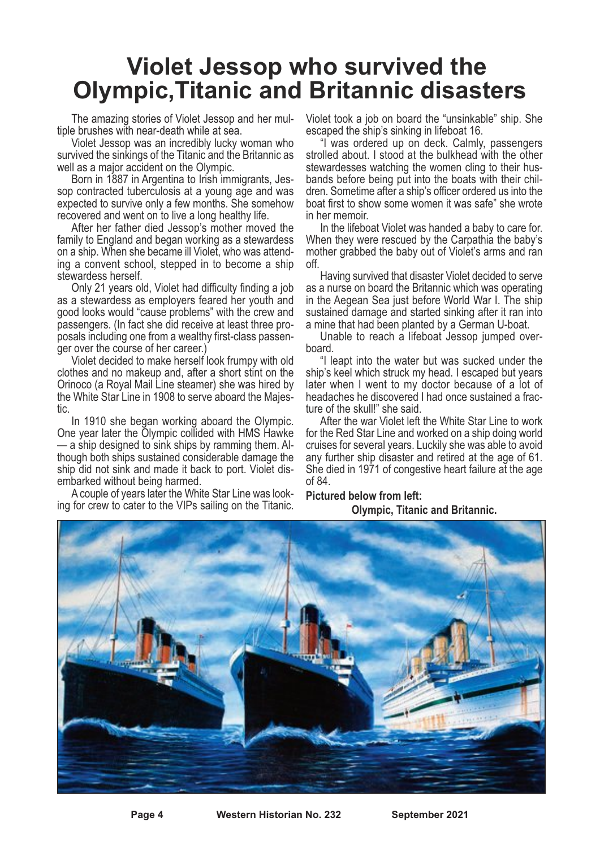### **Violet Jessop who survived the Olympic,Titanic and Britannic disasters**

The amazing stories of Violet Jessop and her mul-<br>tiple brushes with near-death while at sea.<br>Violet Jessop was an incredibly lucky woman who

survived the sinkings of the Titanic and the Britannic as well as a major accident on the Olympic.

Born in 1887 in Argentina to Irish immigrants, Jessop contracted tuberculosis at a young age and was expected to survive only a few months. She somehow recovered and went on to live a long healthy life.

After her father died Jessop's mother moved the family to England and began working as a stewardess on a ship. When she became ill Violet, who was attending a convent school, stepped in to become a ship stewardess herself.

Only 21 years old, Violet had difficulty finding a job as a stewardess as employers feared her youth and good looks would "cause problems" with the crew and passengers. (In fact she did receive at least three proposals including one from a wealthy first-class passenger over the course of her career.)

Violet decided to make herself look frumpy with old clothes and no makeup and, after a short stint on the Orinoco (a Royal Mail Line steamer) she was hired by the White Star Line in 1908 to serve aboard the Majestic.

In 1910 she began working aboard the Olympic. One year later the Olympic collided with HMS Hawke — a ship designed to sink ships by ramming them. Although both ships sustained considerable damage the ship did not sink and made it back to port. Violet dis- embarked without being harmed. <sup>A</sup> couple of years later the White Star Line was look- ing for crew to cater to the VIPs sailing on the Titanic.

Violet took a job on board the "unsinkable" ship. She

"I was ordered up on deck. Calmly, passengers strolled about. I stood at the bulkhead with the other stewardesses watching the women cling to their husbands before being put into the boats with their children. Sometime after a ship's officer ordered us into the boat first to show some women it was safe" she wrote in her memoir.

In the lifeboat Violet was handed a baby to care for. When they were rescued by the Carpathia the baby's mother grabbed the baby out of Violet's arms and ran off.

Having survived that disaster Violet decided to serve as a nurse on board the Britannic which was operating in the Aegean Sea just before World War I. The ship sustained damage and started sinking after it ran into a mine that had been planted by a German U-boat.

Unable to reach a lifeboat Jessop jumped overboard.

"I leapt into the water but was sucked under the ship's keel which struck my head. I escaped but years later when I went to my doctor because of a lot of headaches he discovered I had once sustained a fracture of the skull!" she said.

After the war Violet left the White Star Line to work for the Red Star Line and worked on a ship doing world cruises for several years. Luckily she was able to avoid She died in 1971 of congestive heart failure at the age of 84.

**Pictured below from left: Olympic, Titanic and Britannic.**

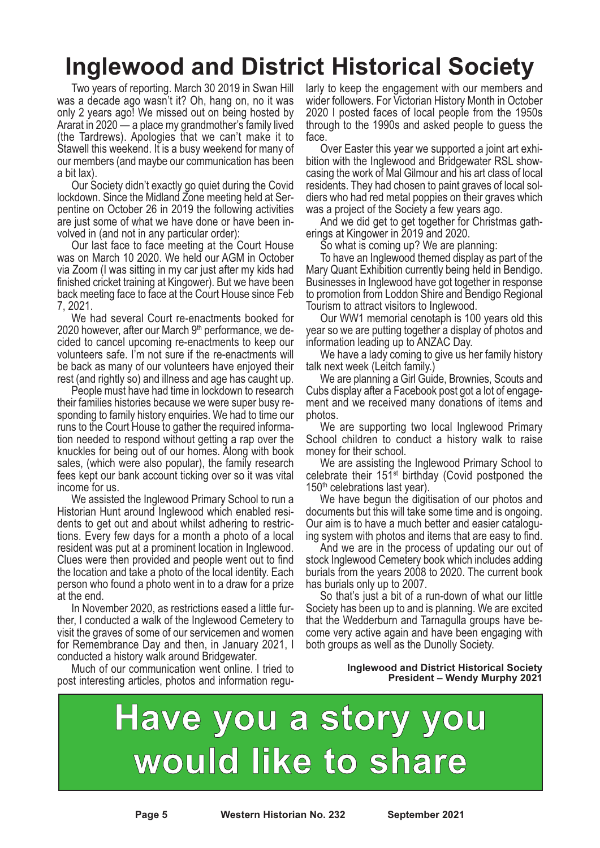# **Inglewood and District Historical Society**

Two years of reporting. March 30 2019 in Swan Hill was a decade ago wasn't it? Oh, hang on, no it was only 2 years ago! We missed out on being hosted by Ararat in 2020 — a place my grandmother's family lived (the Tardrews). Apologies that we can't make it to Stawell this weekend. It is a busy weekend for many of our members (and maybe our communication has been a bit lax).

Our Society didn't exactly go quiet during the Covid lockdown. Since the Midland Zone meeting held at Serpentine on October 26 in 2019 the following activities are just some of what we have done or have been involved in (and not in any particular order):

Our last face to face meeting at the Court House was on March 10 2020. We held our AGM in October via Zoom (I was sitting in my car just after my kids had finished cricket training at Kingower). But we have been back meeting face to face at the Court House since Feb 7, 2021.

We had several Court re-enactments booked for 2020 however, after our March  $9<sup>th</sup>$  performance, we decided to cancel upcoming re-enactments to keep our volunteers safe. I'm not sure if the re-enactments will be back as many of our volunteers have enjoyed their rest (and rightly so) and illness and age has caught up.

People must have had time in lockdown to research their families histories because we were super busy responding to family history enquiries. We had to time our runs to the Court House to gather the required information needed to respond without getting a rap over the knuckles for being out of our homes. Along with book sales, (which were also popular), the family research fees kept our bank account ticking over so it was vital income for us.

We assisted the Inglewood Primary School to run a Historian Hunt around Inglewood which enabled residents to get out and about whilst adhering to restrictions. Every few days for a month a photo of a local resident was put at a prominent location in Inglewood. Clues were then provided and people went out to find the location and take a photo of the local identity. Each person who found a photo went in to a draw for a prize at the end.

In November 2020, as restrictions eased a little further, I conducted a walk of the Inglewood Cemetery to visit the graves of some of our servicemen and women for Remembrance Day and then, in January 2021, I conducted a history walk around Bridgewater.

Much of our communication went online. I tried to post interesting articles, photos and information regularly to keep the engagement with our members and wider followers. For Victorian History Month in October 2020 I posted faces of local people from the 1950s through to the 1990s and asked people to guess the face.

Over Easter this year we supported a joint art exhibition with the Inglewood and Bridgewater RSL showcasing the work of Mal Gilmour and his art class of local residents. They had chosen to paint graves of local soldiers who had red metal poppies on their graves which was a project of the Society a few years ago.

And we did get to get together for Christmas gatherings at Kingower in 2019 and 2020.

So what is coming up? We are planning:

To have an Inglewood themed display as part of the Mary Quant Exhibition currently being held in Bendigo. Businesses in Inglewood have got together in response to promotion from Loddon Shire and Bendigo Regional Tourism to attract visitors to Inglewood.

Our WW1 memorial cenotaph is 100 years old this year so we are putting together a display of photos and information leading up to ANZAC Day.

We have a lady coming to give us her family history talk next week (Leitch family.)

We are planning a Girl Guide, Brownies, Scouts and Cubs display after a Facebook post got a lot of engagement and we received many donations of items and photos.

We are supporting two local Inglewood Primary School children to conduct a history walk to raise money for their school.

We are assisting the Inglewood Primary School to celebrate their  $151<sup>st</sup>$  birthday (Covid postponed the 150<sup>th</sup> celebrations last year).

We have begun the digitisation of our photos and documents but this will take some time and is ongoing. Our aim is to have a much better and easier cataloguing system with photos and items that are easy to find.

And we are in the process of updating our out of stock Inglewood Cemetery book which includes adding burials from the years 2008 to 2020. The current book has burials only up to 2007.

So that's just a bit of a run-down of what our little Society has been up to and is planning. We are excited that the Wedderburn and Tarnagulla groups have become very active again and have been engaging with both groups as well as the Dunolly Society.

#### **Inglewood and District Historical Society President – Wendy Murphy 2021**

# **Have you a story you would like to share**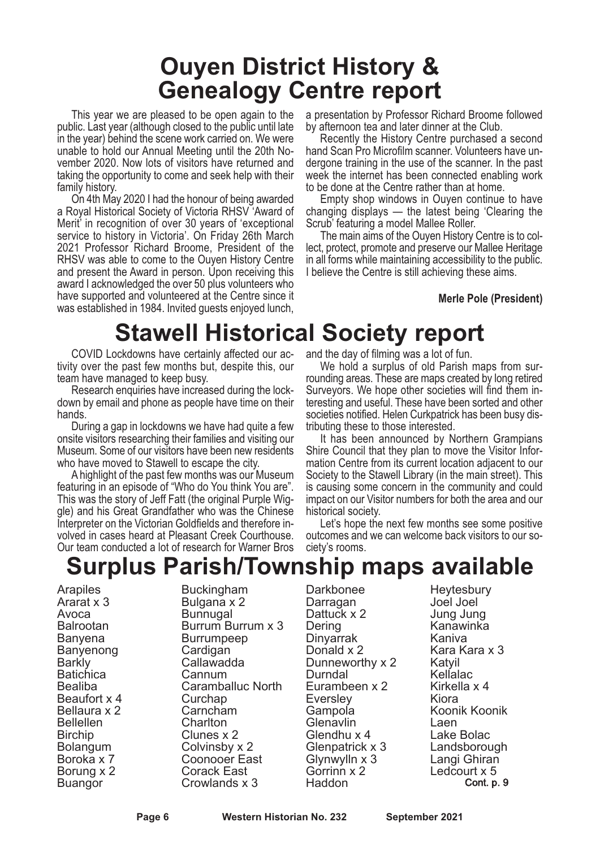### **Ouyen District History & Genealogy Centre report**

This year we are pleased to be open again to the public. Last year (although closed to the public until late in the year) behind the scene work carried on. We were unable to hold our Annual Meeting until the 20th November 2020. Now lots of visitors have returned and taking the opportunity to come and seek help with their family history.

On 4th May 2020 I had the honour of being awarded a Royal Historical Society of Victoria RHSV 'Award of Merit' in recognition of over 30 years of 'exceptional service to history in Victoria'. On Friday 26th March 2021 Professor Richard Broome, President of the RHSV was able to come to the Ouyen History Centre and present the Award in person. Upon receiving this award I acknowledged the over 50 plus volunteers who have supported and volunteered at the Centre since it was established in 1984. Invited guests enjoyed lunch, a presentation by Professor Richard Broome followed<br>by afternoon tea and later dinner at the Club.

Recently the History Centre purchased a second hand Scan Pro Microfilm scanner. Volunteers have un- dergone training in the use of the scanner. In the past week the internet has been connected enabling work<br>to be done at the Centre rather than at home.

Empty shop windows in Ouyen continue to have. changing displays — the latest being 'Clearing the Scrub' featuring a model Mallee Roller.

The main aims of the Ouyen History Centre is to collect, protect, promote and preserve our Mallee Heritage in all forms while maintaining accessibility to the public. I believe the Centre is still achieving these aims.

#### **Merle Pole (President)**

### **Stawell Historical Society report**

COVID Lockdowns have certainly affected our activity over the past few months but, despite this, our team have managed to keep busy.

Research enquiries have increased during the lockdown by email and phone as people have time on their hands.

During a gap in lockdowns we have had quite a few onsite visitors researching their families and visiting our Museum. Some of our visitors have been new residents who have moved to Stawell to escape the city.

A highlight of the past few months was our Museum featuring in an episode of "Who do You think You are". This was the story of Jeff Fatt (the original Purple Wiggle) and his Great Grandfather who was the Chinese Interpreter on the Victorian Goldfields and therefore involved in cases heard at Pleasant Creek Courthouse. Our team conducted a lot of research for Warner Bros and the day of filming was a lot of fun.

We hold a surplus of old Parish maps from surrounding areas. These are maps created by long retired Surveyors. We hope other societies will find them interesting and useful. These have been sorted and other societies notified. Helen Curkpatrick has been busy distributing these to those interested.

It has been announced by Northern Grampians Shire Council that they plan to move the Visitor Information Centre from its current location adjacent to our Society to the Stawell Library (in the main street). This is causing some concern in the community and could impact on our Visitor numbers for both the area and our historical society.

Let's hope the next few months see some positive outcomes and we can welcome back visitors to our society's rooms.

### **Surplus Parish/Township maps available**

Arapiles Ararat x 3 Avoca Balrootan Banyena Banyenong Barkly **Batichica** Bealiba Beaufort x 4 Bellaura x 2 Bellellen Birchip Bolangum Boroka x 7 Borung x 2 Buangor

Buckingham Bulgana x 2 Bunnugal Burrum Burrum x 3 Burrumpeep Cardigan Callawadda Cannum Caramballuc North **Curchap** Carncham **Charlton** Clunes x 2 Colvinsby x 2 Coonooer East Corack East Crowlands x 3

Darkbonee Darragan Dattuck x 2 Dering Dinyarrak Donald x 2 Dunneworthy x 2 Durndal Eurambeen x 2 Eversley Gampola **Glenavlin** Glendhu x 4 Glenpatrick x 3 Glynwylln x 3 Gorrinn x 2 Haddon

**Heytesbury** Joel Joel Jung Jung Kanawinka Kaniva Kara Kara x 3 Katyil Kellalac Kirkella x 4 Kiora Koonik Koonik Laen Lake Bolac Landsborough Langi Ghiran Ledcourt x 5 Cont. p. 9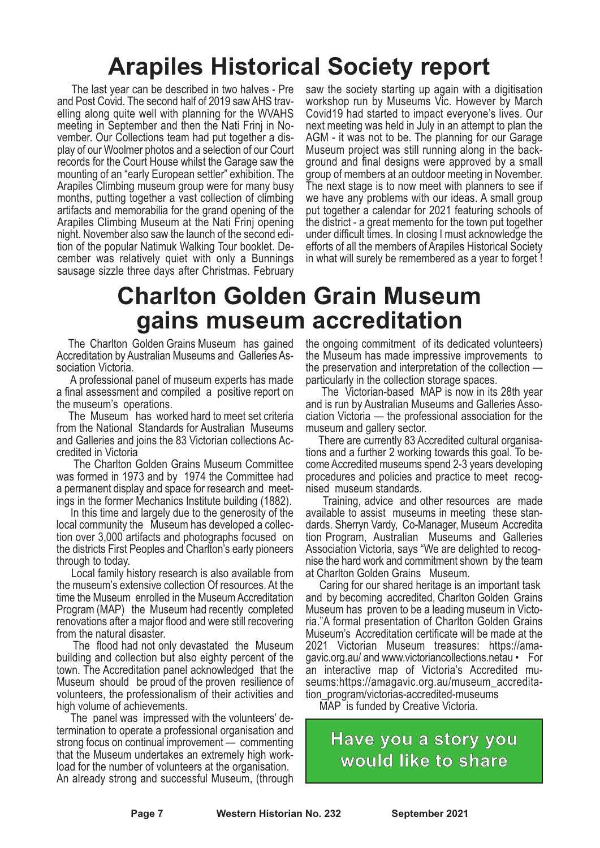# **Arapiles Historical Society report**

The last year can be described in two halves - Pre and Post Covid. The second half of 2019 sawAHS travelling along quite well with planning for the WVAHS meeting in September and then the Nati Frinj in November. Our Collections team had put together a display of our Woolmer photos and a selection of our Court records for the Court House whilst the Garage saw the mounting of an "early European settler" exhibition. The Arapiles Climbing museum group were for many busy months, putting together a vast collection of climbing artifacts and memorabilia for the grand opening of the Arapiles Climbing Museum at the Nati Frinj opening night. November also saw the launch of the second edition of the popular Natimuk Walking Tour booklet. December was relatively quiet with only a Bunnings sausage sizzle three days after Christmas. February

saw the society starting up again with a digitisation workshop run by Museums Vic. However by March Covid19 had started to impact everyone's lives. Our next meeting was held in July in an attempt to plan the AGM - it was not to be. The planning for our Garage Museum project was still running along in the background and final designs were approved by a small group of members at an outdoor meeting in November. The next stage is to now meet with planners to see if we have any problems with our ideas. A small group put together a calendar for 2021 featuring schools of the district - a great memento for the town put together under difficult times. In closing I must acknowledge the efforts of all the members of Arapiles Historical Society in what will surely be remembered as a year to forget !

### **Charlton Golden Grain Museum gains museum accreditation**

The Charlton Golden Grains Museum has gained Accreditation by Australian Museums and Galleries As- sociation Victoria. <sup>A</sup> professional panel of museum experts has made

a final assessment and compiled a positive report on

the museum's operations. The Museum has worked hard to meet set criteria from the National Standards for Australian Museums and Galleries and joins the <sup>83</sup> Victorian collections Ac- credited in Victoria

The Charlton Golden Grains Museum Committee was formed in 1973 and by 1974 the Committee had <sup>a</sup> permanent display and space for research and meet- ings in the former Mechanics Institute building (1882). In this time and largely due to the generosity of the

local community the Museum has developed <sup>a</sup> collec- tion over 3,000 artifacts and photographs focused on the districts First Peoples and Charlton's early pioneers

through to today. Local family history research is also available from the museum's extensive collection Of resources. At the time the Museum enrolled in the Museum Accreditation Program (MAP) the Museum had recently completed renovations after a major flood and were still recovering

The flood had not only devastated the Museum building and collection but also eighty percent of the town. The Accreditation panel acknowledged that the Museum should be proud of the proven resilience of volunteers, the professionalism of their activities and high volume of achievements.

The panel was impressed with the volunteers' determination to operate a professional organisation and strong focus on continual improvement — commenting that the Museum undertakes an extremely high work- load for the number of volunteers at the organisation. An already strong and successful Museum, (through

the ongoing commitment of its dedicated volunteers) the Museum has made impressive improvements to the preservation and interpretation of the collection — particularly in the collection storage spaces. The Victorian-based MAP is now in its 28th year

and is run by Australian Museums and Galleries Asso- ciation Victoria — the professional association for the

museum and gallery sector.<br>There are currently 83 Accredited cultural organisa-<br>tions and a further 2 working towards this goal. To be-<br>come Accredited museums spend 2-3 years developing procedures and policies and practice to meet recog- nised museum standards. Training, advice and other resources are made

available to assist museums in meeting these stan- dards. Sherryn Vardy, Co-Manager, Museum Accredita tion Program, Australian Museums and Galleries Association Victoria, says "We are delighted to recog- nise the hard work and commitment shown by the team

at Charlton Golden Grains Museum. Caring for our shared heritage is an important task and by becoming accredited, Charlton Golden Grains Museum has proven to be <sup>a</sup> leading museum in Victo- ria."A formal presentation of Charlton Golden Grains Museum's Accreditation certificate will be made at the <sup>2021</sup> Victorian Museum treasures: https://ama- gavic.org.au/ and www.victoriancollections.netau • For an interactive map of Victoria's Accredited mu- seums:https://amagavic.org.au/museum\_accreditation\_program/victorias-accredited-museums

MAP is funded by Creative Victoria.

**Have you a story you would like to share**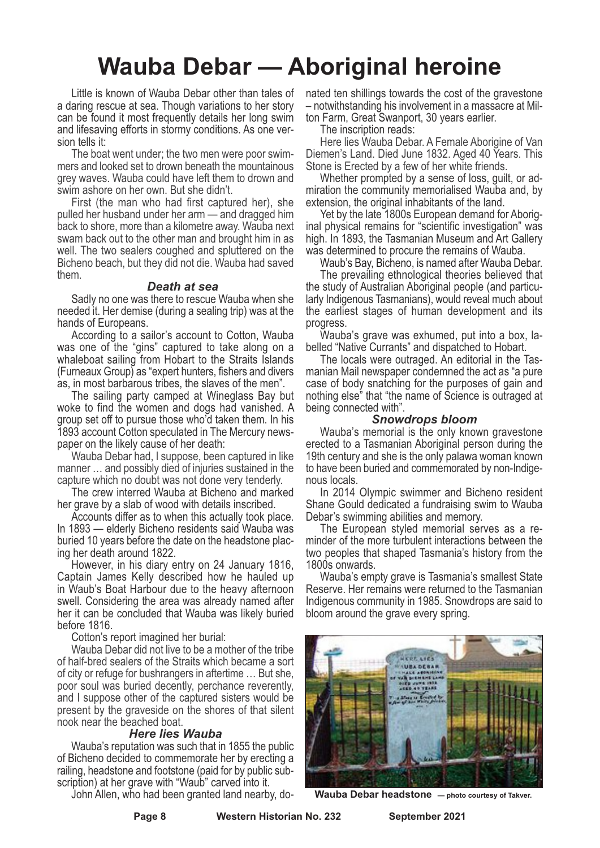### **Wauba Debar — Aboriginal heroine**

Little is known of Wauba Debar other than tales of a daring rescue at sea. Though variations to her story can be found it most frequently details her long swim and lifesaving efforts in stormy conditions. As one version tells it:

The boat went under; the two men were poor swimmers and looked set to drown beneath the mountainous grey waves. Wauba could have left them to drown and swim ashore on her own. But she didn't.

First (the man who had first captured her), she pulled her husband under her arm — and dragged him back to shore, more than a kilometre away. Wauba next swam back out to the other man and brought him in as well. The two sealers coughed and spluttered on the Bicheno beach, but they did not die. Wauba had saved them.

#### *Death at sea*

Sadly no one was there to rescue Wauba when she needed it. Her demise (during a sealing trip) was at the hands of Europeans.

According to a sailor's account to Cotton, Wauba was one of the "gins" captured to take along on a whaleboat sailing from Hobart to the Straits Islands (Furneaux Group) as "expert hunters, fishers and divers as, in most barbarous tribes, the slaves of the men".

The sailing party camped at Wineglass Bay but woke to find the women and dogs had vanished. A group set off to pursue those who'd taken them. In his 1893 account Cotton speculated in The Mercury newspaper on the likely cause of her death:

Wauba Debar had, I suppose, been captured in like manner … and possibly died of injuries sustained in the capture which no doubt was not done very tenderly.

The crew interred Wauba at Bicheno and marked her grave by a slab of wood with details inscribed.

Accounts differ as to when this actually took place. In 1893 — elderly Bicheno residents said Wauba was buried 10 years before the date on the headstone placing her death around 1822.

However, in his diary entry on 24 January 1816, Captain James Kelly described how he hauled up in Waub's Boat Harbour due to the heavy afternoon swell. Considering the area was already named after her it can be concluded that Wauba was likely buried before 1816.

Cotton's report imagined her burial:

Wauba Debar did not live to be a mother of the tribe of half-bred sealers of the Straits which became a sort of city or refuge for bushrangers in aftertime … But she, poor soul was buried decently, perchance reverently, and I suppose other of the captured sisters would be present by the graveside on the shores of that silent nook near the beached boat.

#### *Here lies Wauba*

Wauba's reputation was such that in 1855 the public of Bicheno decided to commemorate her by erecting a railing, headstone and footstone (paid for by public subscription) at her grave with "Waub" carved into it.

John Allen, who had been granted land nearby, do-

nated ten shillings towards the cost of the gravestone – notwithstanding his involvement in a massacre at Milton Farm, Great Swanport, 30 years earlier.

The inscription reads:

Here lies Wauba Debar. A Female Aborigine of Van Diemen's Land. Died June 1832. Aged 40 Years. This Stone is Erected by a few of her white friends.

Whether prompted by a sense of loss, guilt, or admiration the community memorialised Wauba and, by extension, the original inhabitants of the land.

Yet by the late 1800s European demand for Aboriginal physical remains for "scientific investigation" was high. In 1893, the Tasmanian Museum and Art Gallery<br>was determined to procure the remains of Wauba.

Waub's Bay, Bicheno, is named after Wauba Debar.

The prevailing ethnological theories believed that the study of Australian Aboriginal people (and particularly Indigenous Tasmanians), would reveal much about the earliest stages of human development and its progress.

Wauba's grave was exhumed, put into a box, labelled "Native Currants" and dispatched to Hobart.

The locals were outraged. An editorial in the Tasmanian Mail newspaper condemned the act as "a pure case of body snatching for the purposes of gain and nothing else" that "the name of Science is outraged at being connected with".

#### *Snowdrops bloom*

Wauba's memorial is the only known gravestone erected to a Tasmanian Aboriginal person during the 19th century and she is the only palawa woman known to have been buried and commemorated by non-Indige-<br>nous locals.<br>In 2014 Olympic swimmer and Bicheno resident

Shane Gould dedicated a fundraising swim to Wauba

Debar's swimming abilities and memory. The European styled memorial serves as <sup>a</sup> re- minder of the more turbulent interactions between the two peoples that shaped Tasmania's history from the

1800s onwards. Wauba's empty grave is Tasmania's smallest State Reserve. Her remains were returned to the Tasmanian Indigenous community in 1985. Snowdrops are said to bloom around the grave every spring.



**Wauba Debar headstone — photo courtesy of Takver.**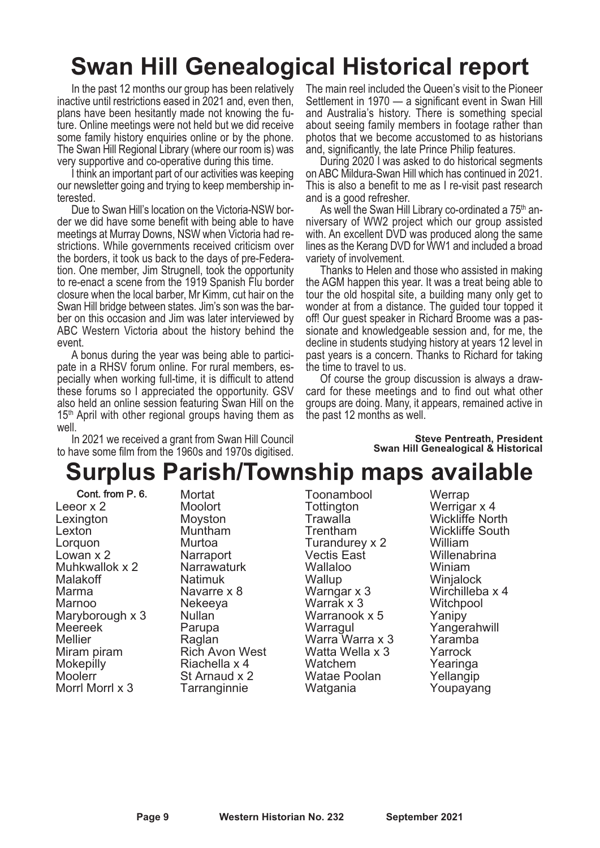# **Swan Hill Genealogical Historical report**

In the past 12 months our group has been relatively inactive until restrictions eased in 2021 and, even then, plans have been hesitantly made not knowing the future. Online meetings were not held but we did receive some family history enquiries online or by the phone. The Swan Hill Regional Library (where our room is) was very supportive and co-operative during this time.

I think an important part of our activities was keeping our newsletter going and trying to keep membership interested.

Due to Swan Hill's location on the Victoria-NSW border we did have some benefit with being able to have meetings at Murray Downs, NSW when Victoria had restrictions. While governments received criticism over the borders, it took us back to the days of pre-Federation. One member, Jim Strugnell, took the opportunity to re-enact a scene from the 1919 Spanish Flu border closure when the local barber, Mr Kimm, cut hair on the Swan Hill bridge between states. Jim's son was the barber on this occasion and Jim was later interviewed by ABC Western Victoria about the history behind the event.

A bonus during the year was being able to participate in a RHSV forum online. For rural members, especially when working full-time, it is difficult to attend these forums so I appreciated the opportunity. GSV also held an online session featuring Swan Hill on the  $15<sup>th</sup>$  April with other regional groups having them as well.

In 2021 we received a grant from Swan Hill Council to have some film from the 1960s and 1970s digitised. The main reel included the Queen's visit to the Pioneer Settlement in 1970 — a significant event in Swan Hill and Australia's history. There is something special about seeing family members in footage rather than photos that we become accustomed to as historians and, significantly, the late Prince Philip features.

During 2020 I was asked to do historical segments on ABC Mildura-Swan Hill which has continued in 2021. This is also a benefit to me as I re-visit past research and is a good refresher.

As well the Swan Hill Library co-ordinated a 75<sup>th</sup> anniversary of WW2 project which our group assisted with. An excellent DVD was produced along the same lines as the Kerang DVD for WW1 and included a broad variety of involvement.

Thanks to Helen and those who assisted in making the AGM happen this year. It was a treat being able to tour the old hospital site, a building many only get to wonder at from a distance. The guided tour topped it off! Our guest speaker in Richard Broome was a passionate and knowledgeable session and, for me, the decline in students studying history at years 12 level in past years is a concern. Thanks to Richard for taking the time to travel to us.

Of course the group discussion is always a drawcard for these meetings and to find out what other groups are doing. Many, it appears, remained active in the past 12 months as well.

> **Steve Pentreath, President Swan Hill Genealogical & Historical**

### **Surplus Parish/Township maps available**

Cont. from P. 6.

Leeor x 2 Lexington Lexton Lorquon Lowan x 2 Muhkwallok x 2 Malakoff Marma Marnoo Maryborough x 3 Meereek Mellier Miram piram **Mokepilly** Moolerr Morrl Morrl x 3

Mortat **Moolort** Moyston Muntham Murtoa **Narraport** Narrawaturk Natimuk Navarre x 8 Nekeeya Nullan Parupa Raglan Rich Avon West Riachella x 4 St Arnaud x 2 Tarranginnie

Toonambool **Tottington** Trawalla Trentham Turandurey x 2 Vectis East Wallaloo **Wallup** Warngar x 3 Warrak x 3 Warranook x 5 Warragul Warra Warra x 3 Watta Wella x 3 Watchem Watae Poolan Watgania

**Werrap** Werrigar x 4 Wickliffe North Wickliffe South William **Willenabrina** Winiam **Winialock** Wirchilleba x 4 **Witchpool** Yanipy Yangerahwill Yaramba Yarrock Yearinga Yellangip Youpayang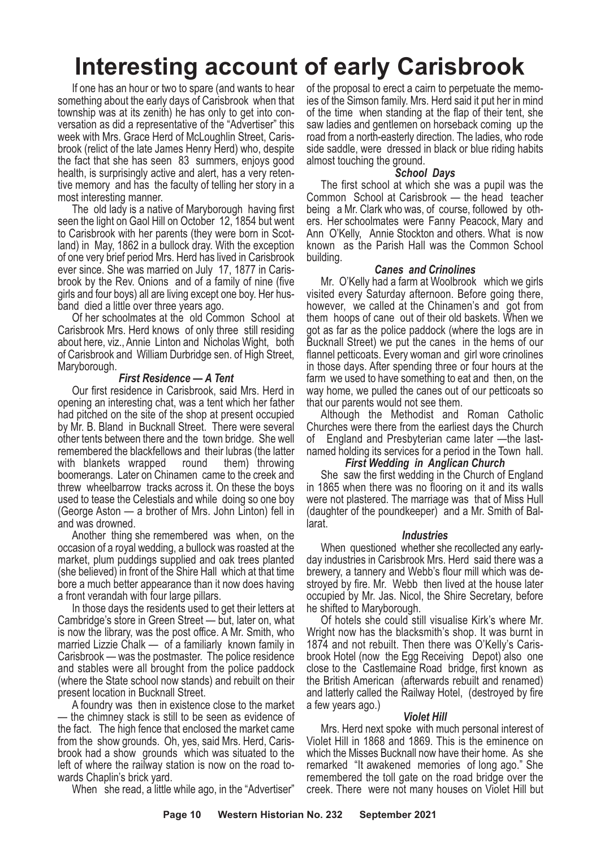# **Interesting account of early Carisbrook**

If one has an hour or two to spare (and wants to hear something about the early days of Carisbrook when that township was at its zenith) he has only to get into conversation as did a representative of the "Advertiser" this week with Mrs. Grace Herd of McLoughlin Street, Carisbrook (relict of the late James Henry Herd) who, despite the fact that she has seen 83 summers, enjoys good health, is surprisingly active and alert, has a very retentive memory and has the faculty of telling her story in a most interesting manner.

The old lady is a native of Maryborough having first seen the light on Gaol Hill on October 12, 1854 but went to Carisbrook with her parents (they were born in Scotland) in May, 1862 in a bullock dray. With the exception of one very brief period Mrs. Herd has lived in Carisbrook ever since. She was married on July 17, 1877 in Carisbrook by the Rev. Onions and of a family of nine (five girls and four boys) all are living except one boy. Her husband died a little over three years ago.

Of her schoolmates at the old Common School at Carisbrook Mrs. Herd knows of only three still residing about here, viz., Annie Linton and Nicholas Wight, both of Carisbrook and William Durbridge sen. of High Street, Maryborough.

#### *First Residence — A Tent*

Our first residence in Carisbrook, said Mrs. Herd in opening an interesting chat, was a tent which her father had pitched on the site of the shop at present occupied by Mr. B. Bland in Bucknall Street. There were several other tents between there and the town bridge. She well remembered the blackfellows and their lubras (the latter with blankets wrapped round them) throwing boomerangs. Later on Chinamen came to the creek and threw wheelbarrow tracks across it. On these the boys used to tease the Celestials and while doing so one boy (George Aston — a brother of Mrs. John Linton) fell in and was drowned.

Another thing she remembered was when, on the occasion of a royal wedding, a bullock was roasted at the market, plum puddings supplied and oak trees planted (she believed) in front of the Shire Hall which at that time bore a much better appearance than it now does having a front verandah with four large pillars.

In those days the residents used to get their letters at Cambridge's store in Green Street — but, later on, what is now the library, was the post office. A Mr. Smith, who married Lizzie Chalk — of a familiarly known family in Carisbrook — was the postmaster. The police residence and stables were all brought from the police paddock (where the State school now stands) and rebuilt on their present location in Bucknall Street.

A foundry was then in existence close to the market — the chimney stack is still to be seen as evidence of the fact. The high fence that enclosed the market came from the show grounds. Oh, yes, said Mrs. Herd, Carisbrook had a show grounds which was situated to the left of where the railway station is now on the road towards Chaplin's brick yard.

When she read, a little while ago, in the "Advertiser"

of the proposal to erect a cairn to perpetuate the memoies of the Simson family. Mrs. Herd said it put her in mind of the time when standing at the flap of their tent, she saw ladies and gentlemen on horseback coming up the road from a north-easterly direction. The ladies, who rode side saddle, were dressed in black or blue riding habits almost touching the ground.

#### *School Days*

The first school at which she was a pupil was the Common School at Carisbrook — the head teacher being a Mr. Clark who was, of course, followed by others. Her schoolmates were Fanny Peacock, Mary and Ann O'Kelly, Annie Stockton and others. What is now known as the Parish Hall was the Common School building.

#### *Canes and Crinolines*

Mr. O'Kelly had a farm at Woolbrook which we girls visited every Saturday afternoon. Before going there, however, we called at the Chinamen's and got from them hoops of cane out of their old baskets. When we got as far as the police paddock (where the logs are in Bucknall Street) we put the canes in the hems of our flannel petticoats. Every woman and girl wore crinolines in those days. After spending three or four hours at the farm we used to have something to eat and then, on the way home, we pulled the canes out of our petticoats so that our parents would not see them.

Although the Methodist and Roman Catholic Churches were there from the earliest days the Church of England and Presbyterian came later —the lastnamed holding its services for a period in the Town hall.

#### *First Wedding in Anglican Church*

She saw the first wedding in the Church of England in 1865 when there was no flooring on it and its walls were not plastered. The marriage was that of Miss Hull (daughter of the poundkeeper) and a Mr. Smith of Ballarat.

#### *Industries*

When questioned whether she recollected any earlyday industries in Carisbrook Mrs. Herd said there was a brewery, a tannery and Webb's flour mill which was destroyed by fire. Mr. Webb then lived at the house later occupied by Mr. Jas. Nicol, the Shire Secretary, before he shifted to Maryborough.

Of hotels she could still visualise Kirk's where Mr. Wright now has the blacksmith's shop. It was burnt in 1874 and not rebuilt. Then there was O'Kelly's Carisbrook Hotel (now the Egg Receiving Depot) also one close to the Castlemaine Road bridge, first known as the British American (afterwards rebuilt and renamed) and latterly called the Railway Hotel, (destroyed by fire a few years ago.)

#### *Violet Hill*

Mrs. Herd next spoke with much personal interest of Violet Hill in 1868 and 1869. This is the eminence on which the Misses Bucknall now have their home. As she remarked "It awakened memories of long ago." She remembered the toll gate on the road bridge over the creek. There were not many houses on Violet Hill but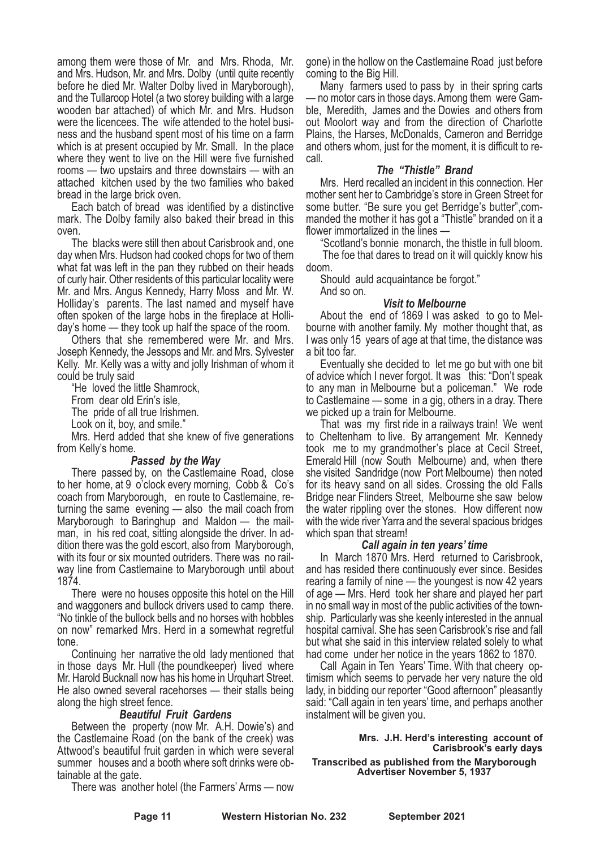among them were those of Mr. and Mrs. Rhoda, Mr. and Mrs. Hudson, Mr. and Mrs. Dolby (until quite recently before he died Mr. Walter Dolby lived in Maryborough), and the Tullaroop Hotel (a two storey building with a large wooden bar attached) of which Mr. and Mrs. Hudson were the licencees. The wife attended to the hotel business and the husband spent most of his time on a farm which is at present occupied by Mr. Small. In the place where they went to live on the Hill were five furnished rooms — two upstairs and three downstairs — with an attached kitchen used by the two families who baked bread in the large brick oven.

Each batch of bread was identified by a distinctive mark. The Dolby family also baked their bread in this oven.

The blacks were still then about Carisbrook and, one day when Mrs. Hudson had cooked chops for two of them what fat was left in the pan they rubbed on their heads of curly hair. Other residents of this particular locality were Mr. and Mrs. Angus Kennedy, Harry Moss and Mr. W. Holliday's parents. The last named and myself have often spoken of the large hobs in the fireplace at Holliday's home — they took up half the space of the room.

Others that she remembered were Mr. and Mrs. Joseph Kennedy, the Jessops and Mr. and Mrs. Sylvester Kelly. Mr. Kelly was a witty and jolly Irishman of whom it could be truly said

"He loved the little Shamrock,

From dear old Erin's isle,

The pride of all true Irishmen.

Look on it, boy, and smile."

Mrs. Herd added that she knew of five generations from Kelly's home.

#### *Passed by the Way*

There passed by, on the Castlemaine Road, close to her home, at 9 o'clock every morning, Cobb & Co's coach from Maryborough, en route to Castlemaine, returning the same evening — also the mail coach from Maryborough to Baringhup and Maldon — the mailman, in his red coat, sitting alongside the driver. In addition there was the gold escort, also from Maryborough, with its four or six mounted outriders. There was no railway line from Castlemaine to Maryborough until about 1874.

There were no houses opposite this hotel on the Hill and waggoners and bullock drivers used to camp there. "No tinkle of the bullock bells and no horses with hobbles on now" remarked Mrs. Herd in a somewhat regretful tone.

Continuing her narrative the old lady mentioned that in those days Mr. Hull (the poundkeeper) lived where Mr. Harold Bucknall now has his home in Urquhart Street. He also owned several racehorses — their stalls being along the high street fence.

#### *Beautiful Fruit Gardens*

Between the property (now Mr. A.H. Dowie's) and the Castlemaine Road (on the bank of the creek) was Attwood's beautiful fruit garden in which were several summer houses and a booth where soft drinks were obtainable at the gate.

There was another hotel (the Farmers' Arms — now

gone) in the hollow on the Castlemaine Road just before coming to the Big Hill.

Many farmers used to pass by in their spring carts — no motor cars in those days. Among them were Gamble, Meredith, James and the Dowies and others from out Moolort way and from the direction of Charlotte Plains, the Harses, McDonalds, Cameron and Berridge and others whom, just for the moment, it is difficult to recall.

#### *The "Thistle" Brand*

Mrs. Herd recalled an incident in this connection. Her mother sent her to Cambridge's store in Green Street for some butter. "Be sure you get Berridge's butter",commanded the mother it has got a "Thistle" branded on it a flower immortalized in the lines -

"Scotland's bonnie monarch, the thistle in full bloom. The foe that dares to tread on it will quickly know his doom.

Should auld acquaintance be forgot." And so on.

#### *Visit to Melbourne*

About the end of 1869 I was asked to go to Melbourne with another family. My mother thought that, as I was only 15 years of age at that time, the distance was a bit too far.

Eventually she decided to let me go but with one bit of advice which I never forgot. It was this: "Don't speak to any man in Melbourne but a policeman." We rode to Castlemaine — some in a gig, others in a dray. There we picked up a train for Melbourne.

That was my first ride in a railways train! We went to Cheltenham to live. By arrangement Mr. Kennedy took me to my grandmother's place at Cecil Street, Emerald Hill (now South Melbourne) and, when there she visited Sandridge (now Port Melbourne) then noted for its heavy sand on all sides. Crossing the old Falls Bridge near Flinders Street, Melbourne she saw below the water rippling over the stones. How different now with the wide river Yarra and the several spacious bridges which span that stream!

#### *Call again in ten years' time*

In March 1870 Mrs. Herd returned to Carisbrook, and has resided there continuously ever since. Besides rearing a family of nine — the youngest is now 42 years of age — Mrs. Herd took her share and played her part in no small way in most of the public activities of the township. Particularly was she keenly interested in the annual hospital carnival. She has seen Carisbrook's rise and fall but what she said in this interview related solely to what had come under her notice in the years 1862 to 1870.

Call Again in Ten Years' Time. With that cheery optimism which seems to pervade her very nature the old lady, in bidding our reporter "Good afternoon" pleasantly said: "Call again in ten years' time, and perhaps another instalment will be given you.

**Mrs. J.H. Herd's interesting account of Carisbrook's early days Transcribed as published from the Maryborough**

**Advertiser November 5, 1937**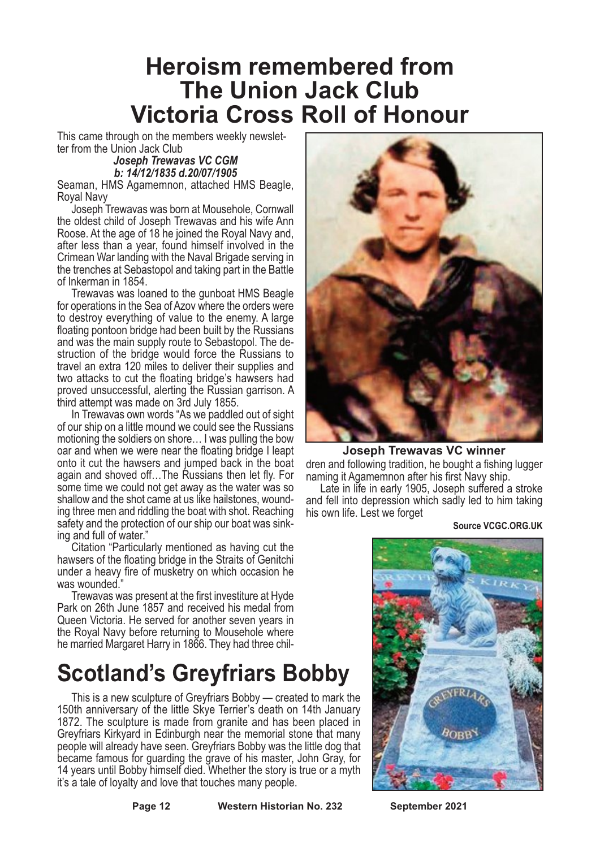### **Heroism remembered from The Union Jack Club Victoria Cross Roll of Honour**

This came through on the members weekly newslet- ter from the Union Jack Club

*Joseph Trewavas VC CGM b: 14/12/1835 d.20/07/1905*

Seaman, HMS Agamemnon, attached HMS Beagle, Royal Navy

Joseph Trewavas was born at Mousehole, Cornwall the oldest child of Joseph Trewavas and his wife Ann Roose. At the age of 18 he joined the Royal Navy and, after less than a vear, found himself involved in the Crimean War landing with the Naval Brigade serving in the trenches at Sebastopol and taking part in the Battle of Inkerman in 1854.

Trewavas was loaned to the gunboat HMS Beagle for operations in the Sea of Azov where the orders were to destroy everything of value to the enemy. A large floating pontoon bridge had been built by the Russians and was the main supply route to Sebastopol. The destruction of the bridge would force the Russians to travel an extra 120 miles to deliver their supplies and two attacks to cut the floating bridge's hawsers had proved unsuccessful, alerting the Russian garrison. A third attempt was made on 3rd July 1855.

In Trewavas own words "As we paddled out of sight of our ship on a little mound we could see the Russians motioning the soldiers on shore… I was pulling the bow oar and when we were near the floating bridge I leapt onto it cut the hawsers and jumped back in the boat again and shoved off...The Russians then let fly. For some time we could not get away as the water was so shallow and the shot came at us like hailstones, wounding three men and riddling the boat with shot. Reaching safety and the protection of our ship our boat was sinking and full of water."

Citation "Particularly mentioned as having cut the hawsers of the floating bridge in the Straits of Genitchi under a heavy fire of musketry on which occasion he was wounded."

Trewavas was present at the first investiture at Hyde Park on 26th June 1857 and received his medal from Queen Victoria. He served for another seven years in the Royal Navy before returning to Mousehole where he married Margaret Harry in 1866. They had three chil-

## **Scotland's Greyfriars Bobby**

This is a new sculpture of Greyfriars Bobby — created to mark the 150th anniversary of the little Skye Terrier's death on 14th January 1872. The sculpture is made from granite and has been placed in Greyfriars Kirkyard in Edinburgh near the memorial stone that many people will already have seen. Greyfriars Bobby was the little dog that became famous for guarding the grave of his master, John Gray, for 14 years until Bobby himself died. Whether the story is true or a myth it's a tale of loyalty and love that touches many people.



**Joseph Trewavas VC winner**

dren and following tradition, he bought a fishing lugger naming it Agamemnon after his first Navy ship.

Late in life in early 1905, Joseph suffered a stroke and fell into depression which sadly led to him taking his own life. Lest we forget

**Source VCGC.ORG.UK**

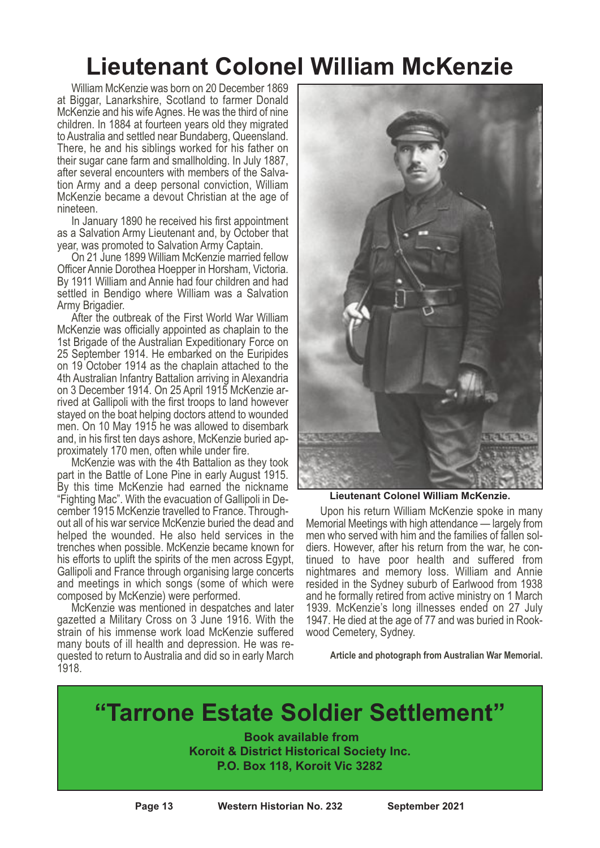### **Lieutenant Colonel William McKenzie**

William McKenzie was born on 20 December 1869 at Biggar, Lanarkshire, Scotland to farmer Donald McKenzie and his wife Agnes. He was the third of nine children. In 1884 at fourteen years old they migrated to Australia and settled near Bundaberg, Queensland. There, he and his siblings worked for his father on their sugar cane farm and smallholding. In July 1887, after several encounters with members of the Salva- tion Army and <sup>a</sup> deep personal conviction, William McKenzie became a devout Christian at the age of nineteen. In January <sup>1890</sup> he received his first appointment

as a Salvation Army Lieutenant and, by October that

year, was promoted to Salvation Army Captain. On <sup>21</sup> June <sup>1899</sup> William McKenzie married fellow By 1911 William and Annie had four children and had settled in Bendigo where William was a Salvation<br>Army Brigadier.

After the outbreak of the First World War William McKenzie was officially appointed as chaplain to the 1st Brigade of the Australian Expeditionary Force on 25 September 1914. He embarked on the Euripides on 19 October 1914 as the chaplain attached to the 4th Australian Infantry Battalion arriving in Alexandria on <sup>3</sup> December 1914. On <sup>25</sup> April <sup>1915</sup> McKenzie ar- rived at Gallipoli with the first troops to land however stayed on the boat helping doctors attend to wounded men. On 10 May 1915 he was allowed to disembark and, in his first ten days ashore, McKenzie buried approximately 170 men, often while under fire.<br>McKenzie was with the 4th Battalion as they took part in the Battle of Lone Pine in early August 1915.

By this time McKenzie had earned the nickname<br>"Fighting Mac". With the evacuation of Gallipoli in De-<br>cember 1915 McKenzie travelled to France. Throughout all of his war service McKenzie buried the dead and helped the wounded. He also held services in the trenches when possible. McKenzie became known for his efforts to uplift the spirits of the men across Egypt, Gallipoli and France through organising large concerts and meetings in which songs (some of which were composed by McKenzie) were performed.

McKenzie was mentioned in despatches and later gazetted a Military Cross on 3 June 1916. With the strain of his immense work load McKenzie suffered many bouts of ill health and depression. He was requested to return to Australia and did so in early March 1918.



**Lieutenant Colonel William McKenzie.**

Upon his return William McKenzie spoke in many Memorial Meetings with high attendance — largely from diers. However, after his return from the war, he con-<br>tinued to have poor health and suffered from nightmares and memory loss. William and Annie resided in the Sydney suburb of Earlwood from 1938 and he formally retired from active ministry on 1 March 1939. McKenzie's long illnesses ended on 27 July 1947. He died at the age of <sup>77</sup> and was buried in Rook- wood Cemetery, Sydney.

**Article and photograph from Australian War Memorial.**

### **"Tarrone Estate Soldier Settlement"**

**Book available from Koroit & District Historical Society Inc. P.O. Box 118, Koroit Vic 3282**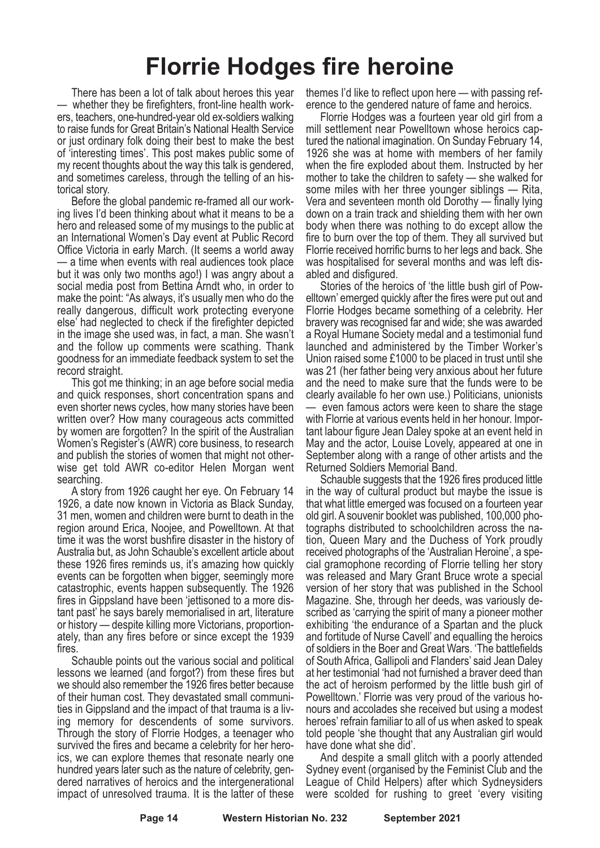### **Florrie Hodges fire heroine**

There has been a lot of talk about heroes this year — whether they be firefighters, front-line health work-<br>ers, teachers, one-hundred-year old ex-soldiers walking to raise funds for Great Britain's National Health Service or just ordinary folk doing their best to make the best of 'interesting times'. This post makes public some of my recent thoughts about the way this talk is gendered,<br>and sometimes careless, through the telling of an his-<br>torical story.<br>Before the global pandemic re-framed all our work-<br>ing lives I'd been thinking about what it mea

hero and released some of my musings to the public at an International Women's Day event at Public Record Office Victoria in early March. (It seems <sup>a</sup> world away — <sup>a</sup> time when events with real audiences took place but it was only two months ago!) I was angry about a social media post from Bettina Arndt who, in order to make the point: "As always, it's usually men who do the really dangerous, difficult work protecting everyone else' had neglected to check if the firefighter depicted in the image she used was, in fact, a man. She wasn't and the follow up comments were scathing. Thank goodness for an immediate feedback system to set the

This got me thinking; in an age before social media and quick responses, short concentration spans and even shorter news cycles, how many stories have been written over? How many courageous acts committed by women are forgotten? In the spirit of the Australian Women's Register's (AWR) core business, to research and publish the stories of women that might not otherwise get told AWR co-editor Helen Morgan went

searching.<br>A story from 1926 caught her eye. On February 14 1926, <sup>a</sup> date now known in Victoria as Black Sunday, <sup>31</sup> men, women and children were burnt to death in the region around Erica, Noojee, and Powelltown. At that time it was the worst bushfire disaster in the history of Australia but, as John Schauble's excellent article about these 1926 fires reminds us, it's amazing how quickly events can be forgotten when bigger, seemingly more catastrophic, events happen subsequently. The 1926 fires in Gippsland have been 'jettisoned to <sup>a</sup> more dis- tant past' he says barely memorialised in art, literature or history — despite killing more Victorians, proportion- ately, than any fires before or since except the <sup>1939</sup> fires.

Schauble points out the various social and political lessons we learned (and forgot?) from these fires but we should also remember the 1926 fires better because of their human cost. They devastated small communities in Gippsland and the impact of that trauma is a living memory for descendents of some survivors. Through the story of Florrie Hodges, a teenager who survived the fires and became a celebrity for her heroics, we can explore themes that resonate nearly one hundred years later such as the nature of celebrity, gen- dered narratives of heroics and the intergenerational impact of unresolved trauma. It is the latter of these

themes I'd like to reflect upon here — with passing reference to the gendered nature of fame and heroics.<br>Florrie Hodges was a fourteen year old girl from a

mill settlement near Powelltown whose heroics cap-<br>tured the national imagination. On Sunday February 14,<br>1926 she was at home with members of her family when the fire exploded about them. Instructed by her mother to take the children to safety — she walked for some miles with her three younger siblings — Rita, Vera and seventeen month old Dorothy — finally lying down on a train track and shielding them with her own body when there was nothing to do except allow the fire to burn over the top of them. They all survived but Florrie received horrific burns to her legs and back. She

abled and disfigured.<br>Stories of the heroics of 'the little bush girl of Pow-<br>elltown' emerged quickly after the fires were put out and Florrie Hodges became something of a celebrity. Her bravery was recognised far and wide; she was awarded a Royal Humane Society medal and a testimonial fund launched and administered by the Timber Worker's Union raised some £1000 to be placed in trust until she was 21 (her father being very anxious about her future and the need to make sure that the funds were to be clearly available fo her own use.) Politicians, unionists — even famous actors were keen to share the stage with Florrie at various events held in her honour. Impor- tant labour figure Jean Daley spoke at an event held in May and the actor, Louise Lovely, appeared at one in September along with a range of other artists and the Returned Soldiers Memorial Band.

Schauble suggests that the 1926 fires produced little in the way of cultural product but maybe the issue is that what little emerged was focused on a fourteen year old girl. <sup>A</sup> souvenir booklet was published, 100,000 pho- tographs distributed to schoolchildren across the na- tion, Queen Mary and the Duchess of York proudly received photographs of the 'Australian Heroine', <sup>a</sup> spe- cial gramophone recording of Florrie telling her story was released and Mary Grant Bruce wrote a special version of her story that was published in the School Magazine. She, through her deeds, was variously de- scribed as 'carrying the spirit of many <sup>a</sup> pioneer mother exhibiting 'the endurance of a Spartan and the pluck and fortitude of Nurse Cavell' and equalling the heroics of soldiers in the Boer and Great Wars. 'The battlefields of South Africa, Gallipoli and Flanders' said Jean Daley at her testimonial 'had not furnished a braver deed than the act of heroism performed by the little bush girl of Powelltown.' Florrie was very proud of the various honours and accolades she received but using a modest heroes' refrain familiar to all of us when asked to speak told people 'she thought that any Australian girl would have done what she did'.

And despite a small glitch with a poorly attended Sydney event (organised by the Feminist Club and the League of Child Helpers) after which Sydneysiders were scolded for rushing to greet 'every visiting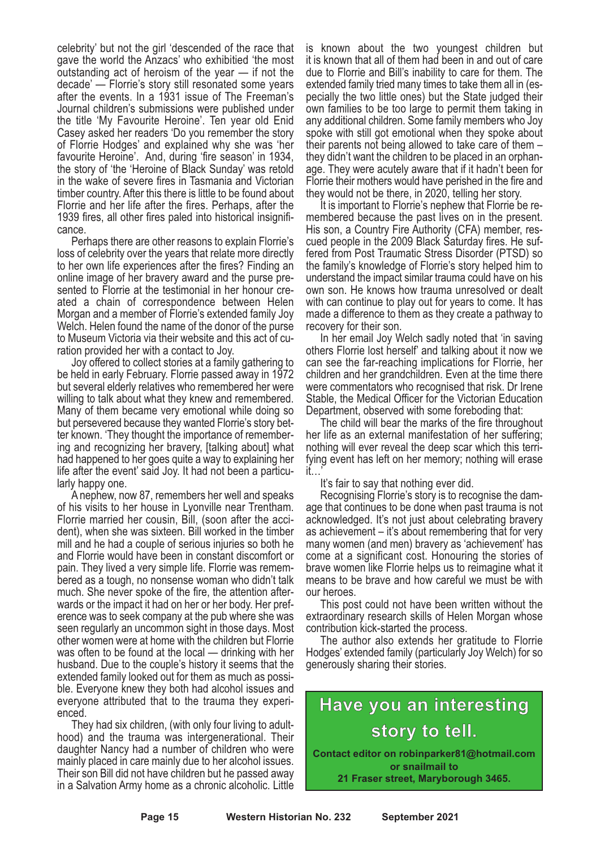celebrity' but not the girl 'descended of the race that gave the world the Anzacs' who exhibitied 'the most outstanding act of heroism of the year — if not the decade' — Florrie's story still resonated some years after the events. In a 1931 issue of The Freeman's Journal children's submissions were published under the title 'My Favourite Heroine'. Ten year old Enid Casey asked her readers 'Do you remember the story of Florrie Hodges' and explained why she was 'her favourite Heroine'. And, during 'fire season' in 1934, the story of 'the 'Heroine of Black Sunday' was retold in the wake of severe fires in Tasmania and Victorian timber country. After this there is little to be found about Florrie and her life after the fires. Perhaps, after the 1939 fires, all other fires paled into historical insignificance.

Perhaps there are other reasons to explain Florrie's loss of celebrity over the years that relate more directly to her own life experiences after the fires? Finding an online image of her bravery award and the purse presented to Florrie at the testimonial in her honour created a chain of correspondence between Helen Morgan and a member of Florrie's extended family Joy Welch. Helen found the name of the donor of the purse to Museum Victoria via their website and this act of curation provided her with a contact to Joy.

Joy offered to collect stories at a family gathering to be held in early February. Florrie passed away in 1972 but several elderly relatives who remembered her were willing to talk about what they knew and remembered. Many of them became very emotional while doing so but persevered because they wanted Florrie's story better known. 'They thought the importance of remembering and recognizing her bravery, [talking about] what had happened to her goes quite a way to explaining her life after the event' said Joy. It had not been <sup>a</sup> particu- larly happy one. <sup>A</sup> nephew, now 87, remembers her well and speaks

of his visits to her house in Lyonville near Trentham. Florrie married her cousin, Bill, (soon after the acci- dent), when she was sixteen. Bill worked in the timber mill and he had a couple of serious injuries so both he and Florrie would have been in constant discomfort or pain. They lived <sup>a</sup> very simple life. Florrie was remem- bered as <sup>a</sup> tough, no nonsense woman who didn't talk much. She never spoke of the fire, the attention after- wards or the impact it had on her or her body. Her pref- erence was to seek company at the pub where she was seen regularly an uncommon sight in those days. Most other women were at home with the children but Florrie was often to be found at the local — drinking with her husband. Due to the couple's history it seems that the extended family looked out for them as much as possible. Everyone knew they both had alcohol issues and everyone attributed that to the trauma they experienced.

They had six children, (with only four living to adulthood) and the trauma was intergenerational. Their daughter Nancy had a number of children who were mainly placed in care mainly due to her alcohol issues. Their son Bill did not have children but he passed away in a Salvation Army home as a chronic alcoholic. Little

is known about the two youngest children but it is known that all of them had been in and out of care due to Florrie and Bill's inability to care for them. The extended family tried many times to take them all in (especially the two little ones) but the State judged their own families to be too large to permit them taking in any additional children. Some family members who Joy spoke with still got emotional when they spoke about their parents not being allowed to take care of them – they didn't want the children to be placed in an orphanage. They were acutely aware that if it hadn't been for Florrie their mothers would have perished in the fire and they would not be there, in 2020, telling her story.

It is important to Florrie's nephew that Florrie be remembered because the past lives on in the present. His son, a Country Fire Authority (CFA) member, rescued people in the 2009 Black Saturday fires. He suffered from Post Traumatic Stress Disorder (PTSD) so the family's knowledge of Florrie's story helped him to understand the impact similar trauma could have on his own son. He knows how trauma unresolved or dealt with can continue to play out for years to come. It has made a difference to them as they create a pathway to recovery for their son.

In her email Joy Welch sadly noted that 'in saving others Florrie lost herself' and talking about it now we can see the far-reaching implications for Florrie, her children and her grandchildren. Even at the time there were commentators who recognised that risk. Dr Irene Stable, the Medical Officer for the Victorian Education Department, observed with some foreboding that:

The child will bear the marks of the fire throughout her life as an external manifestation of her suffering; nothing will ever reveal the deep scar which this terrifying event has left on her memory; nothing will erase it…'

It's fair to say that nothing ever did. Recognising Florrie's story is to recognise the dam- age that continues to be done when past trauma is not acknowledged. It's not just about celebrating bravery as achievement – it's about remembering that for very many women (and men) bravery as 'achievement' has come at a significant cost. Honouring the stories of brave women like Florrie helps us to reimagine what it means to be brave and how careful we must be with our heroes. This post could not have been written without the

extraordinary research skills of Helen Morgan whose

contribution kick-started the process. The author also extends her gratitude to Florrie Hodges' extended family (particularly Joy Welch) for so generously sharing their stories.

#### **Have you an interesting story to tell. Contact editor on robinparker81@hotmail.com or snailmail to**

**21 Fraser street, Maryborough 3465.**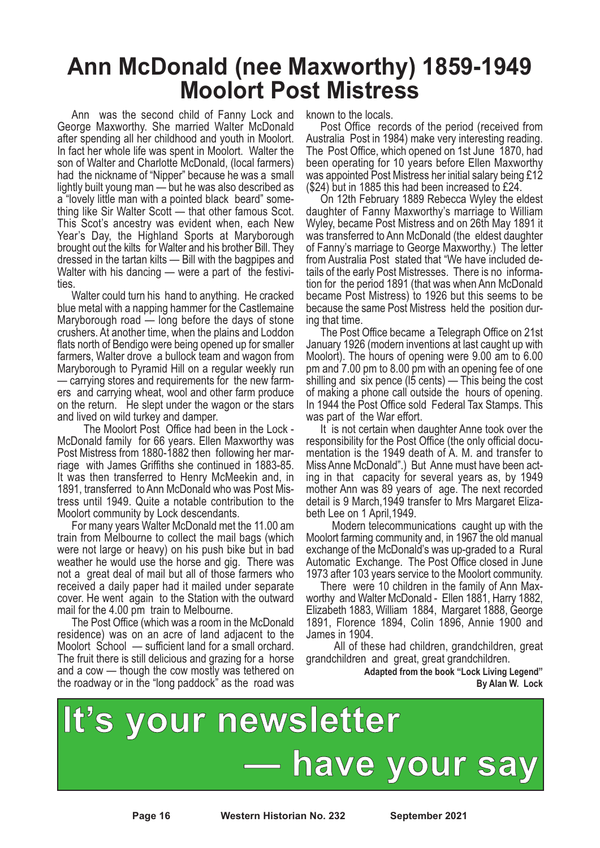### **Ann McDonald (nee Maxworthy) 1859-1949 Moolort Post Mistress**

Ann was the second child of Fanny Lock and George Maxworthy. She married Walter McDonald after spending all her childhood and youth in Moolort. In fact her whole life was spent in Moolort. Walter the son of Walter and Charlotte McDonald, (local farmers) had the nickname of "Nipper" because he was a small lightly built young man — but he was also described as a "lovely little man with a pointed black beard" something like Sir Walter Scott — that other famous Scot. This Scot's ancestry was evident when, each New Year's Day, the Highland Sports at Maryborough brought out the kilts for Walter and his brother Bill. They dressed in the tartan kilts — Bill with the bagpipes and Walter with his dancing  $-$  were a part of the festivities.

Walter could turn his hand to anything. He cracked blue metal with a napping hammer for the Castlemaine Maryborough road — long before the days of stone crushers. At another time, when the plains and Loddon flats north of Bendigo were being opened up for smaller farmers, Walter drove a bullock team and wagon from Maryborough to Pyramid Hill on a regular weekly run — carrying stores and requirements for the new farmers and carrying wheat, wool and other farm produce on the return. He slept under the wagon or the stars and lived on wild turkey and damper.

The Moolort Post Office had been in the Lock - McDonald family for 66 years. Ellen Maxworthy was Post Mistress from 1880-1882 then following her marriage with James Griffiths she continued in 1883-85. It was then transferred to Henry McMeekin and, in 1891, transferred to Ann McDonald who was Post Mistress until 1949. Quite a notable contribution to the Moolort community by Lock descendants.

For many years Walter McDonald met the 11.00 am train from Melbourne to collect the mail bags (which were not large or heavy) on his push bike but in bad weather he would use the horse and gig. There was not a great deal of mail but all of those farmers who received a daily paper had it mailed under separate cover. He went again to the Station with the outward mail for the 4.00 pm train to Melbourne.

The Post Office (which was a room in the McDonald residence) was on an acre of land adjacent to the Moolort School — sufficient land for a small orchard. The fruit there is still delicious and grazing for a horse and a cow — though the cow mostly was tethered on the roadway or in the "long paddock" as the road was known to the locals.

Post Office records of the period (received from Australia Post in 1984) make very interesting reading. The Post Office, which opened on 1st June 1870, had been operating for 10 years before Ellen Maxworthy was appointed Post Mistress her initial salary being £12 (\$24) but in 1885 this had been increased to £24.

On 12th February 1889 Rebecca Wyley the eldest daughter of Fanny Maxworthy's marriage to William Wyley, became Post Mistress and on 26th May 1891 it was transferred to Ann McDonald (the eldest daughter of Fanny's marriage to George Maxworthy.) The letter from Australia Post stated that "We have included details of the early Post Mistresses. There is no information for the period 1891 (that was when Ann McDonald became Post Mistress) to 1926 but this seems to be because the same Post Mistress held the position during that time.

The Post Office became a Telegraph Office on 21st January 1926 (modern inventions at last caught up with Moolort). The hours of opening were 9.00 am to 6.00 pm and 7.00 pm to 8.00 pm with an opening fee of one shilling and six pence (l5 cents) — This being the cost of making a phone call outside the hours of opening. In 1944 the Post Office sold Federal Tax Stamps. This was part of the War effort.

It is not certain when daughter Anne took over the responsibility for the Post Office (the only official documentation is the 1949 death of A. M. and transfer to Miss Anne McDonald".) But Anne must have been acting in that capacity for several years as, by 1949 mother Ann was 89 years of age. The next recorded detail is 9 March,1949 transfer to Mrs Margaret Elizabeth Lee on 1 April,1949.

Modern telecommunications caught up with the Moolort farming community and, in 1967 the old manual exchange of the McDonald's was up-graded to a Rural Automatic Exchange. The Post Office closed in June 1973 after 103 years service to the Moolort community.

There were 10 children in the family of Ann Maxworthy and Walter McDonald - Ellen 1881, Harry 1882, Elizabeth 1883, William 1884, Margaret 1888, George 1891, Florence 1894, Colin 1896, Annie 1900 and James in 1904.

All of these had children, grandchildren, great grandchildren and great, great grandchildren.

> **Adapted from the book "Lock Living Legend" By Alan W. Lock**



**Page 16 Western Historian No. 232 September 2021**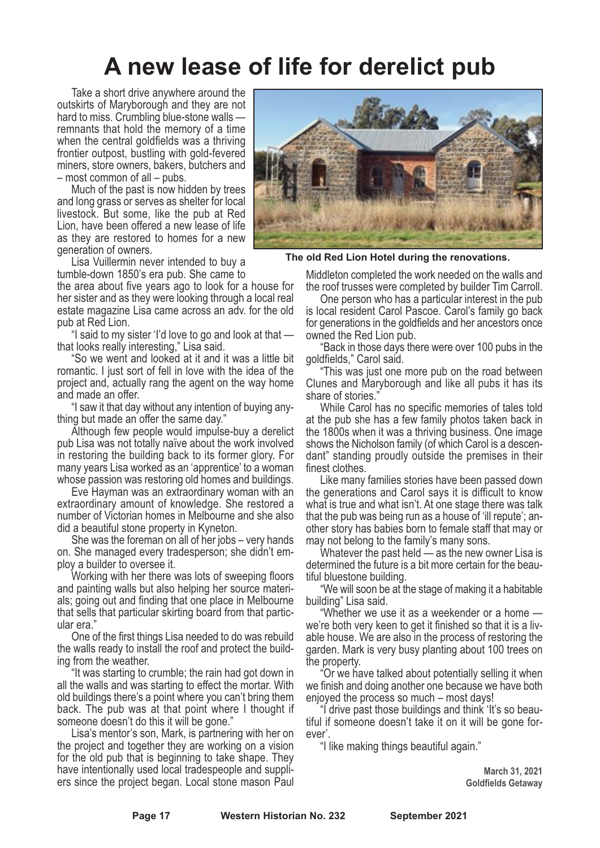### **A new lease of life for derelict pub**

Take a short drive anywhere around the outskirts of Maryborough and they are not hard to miss. Crumbling blue-stone walls remnants that hold the memory of a time when the central goldfields was a thriving frontier outpost, bustling with gold-fevered miners, store owners, bakers, butchers and – most common of all – pubs.

Much of the past is now hidden by trees and long grass or serves as shelter for local livestock. But some, like the pub at Red Lion, have been offered a new lease of life as they are restored to homes for a new generation of owners.

Lisa Vuillermin never intended to buy a tumble-down 1850's era pub. She came to

the area about five years ago to look for a house for her sister and as they were looking through a local real estate magazine Lisa came across an adv. for the old pub at Red Lion.

"I said to my sister 'I'd love to go and look at that that looks really interesting," Lisa said.

"So we went and looked at it and it was a little bit romantic. I just sort of fell in love with the idea of the project and, actually rang the agent on the way home and made an offer.

"I saw it that day without any intention of buying anything but made an offer the same day."

Although few people would impulse-buy a derelict pub Lisa was not totally naïve about the work involved in restoring the building back to its former glory. For many years Lisa worked as an 'apprentice' to a woman whose passion was restoring old homes and buildings.

Eve Hayman was an extraordinary woman with an extraordinary amount of knowledge. She restored a number of Victorian homes in Melbourne and she also did a beautiful stone property in Kyneton.

She was the foreman on all of her jobs – very hands on. She managed every tradesperson; she didn't employ a builder to oversee it.

Working with her there was lots of sweeping floors and painting walls but also helping her source materials; going out and finding that one place in Melbourne that sells that particular skirting board from that particular era."

One of the first things Lisa needed to do was rebuild the walls ready to install the roof and protect the building from the weather.

"It was starting to crumble; the rain had got down in all the walls and was starting to effect the mortar. With old buildings there's a point where you can't bring them back. The pub was at that point where I thought if someone doesn't do this it will be gone."

Lisa's mentor's son, Mark, is partnering with her on the project and together they are working on a vision for the old pub that is beginning to take shape. They have intentionally used local tradespeople and suppliers since the project began. Local stone mason Paul



**The old Red Lion Hotel during the renovations.**

Middleton completed the work needed on the walls and the roof trusses were completed by builder Tim Carroll.

One person who has a particular interest in the pub is local resident Carol Pascoe. Carol's family go back for generations in the goldfields and her ancestors once owned the Red Lion pub.

"Back in those days there were over 100 pubs in the goldfields," Carol said.

"This was just one more pub on the road between Clunes and Maryborough and like all pubs it has its share of stories.

While Carol has no specific memories of tales told at the pub she has a few family photos taken back in the 1800s when it was a thriving business. One image shows the Nicholson family (of which Carol is a descendant" standing proudly outside the premises in their finest clothes.

Like many families stories have been passed down the generations and Carol says it is difficult to know what is true and what isn't. At one stage there was talk that the pub was being run as a house of 'ill repute'; another story has babies born to female staff that may or may not belong to the family's many sons.

Whatever the past held — as the new owner Lisa is determined the future is a bit more certain for the beautiful bluestone building.

"We will soon be at the stage of making it a habitable building" Lisa said.

"Whether we use it as a weekender or a home we're both very keen to get it finished so that it is a livable house. We are also in the process of restoring the garden. Mark is very busy planting about 100 trees on the property.

"Or we have talked about potentially selling it when we finish and doing another one because we have both enjoyed the process so much – most days!

"I drive past those buildings and think 'It's so beautiful if someone doesn't take it on it will be gone forever'.

"I like making things beautiful again."

**March 31, 2021 Goldfields Getaway**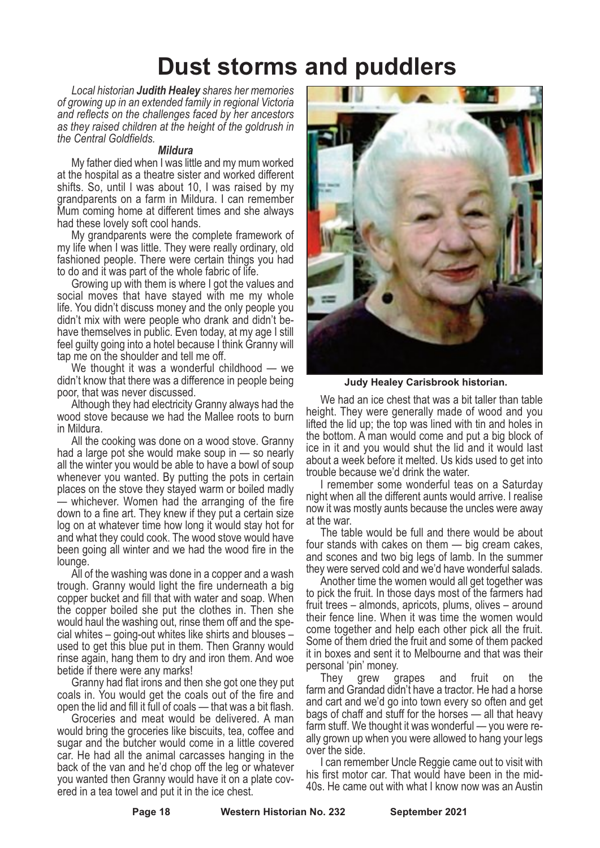### **Dust storms and puddlers**

*Local historian Judith Healey shares her memories of growing up in an extended family in regional Victoria and reflects on the challenges faced by her ancestors as they raised children at the height of the goldrush in the Central Goldfields.*

#### *Mildura*

My father died when I was little and my mum worked at the hospital as a theatre sister and worked different shifts. So, until I was about 10, I was raised by my grandparents on a farm in Mildura. I can remember Mum coming home at different times and she always had these lovely soft cool hands.

My grandparents were the complete framework of my life when I was little. They were really ordinary, old fashioned people. There were certain things you had to do and it was part of the whole fabric of life.

Growing up with them is where I got the values and social moves that have stayed with me my whole life. You didn't discuss money and the only people you didn't mix with were people who drank and didn't behave themselves in public. Even today, at my age I still feel guilty going into a hotel because I think Granny will tap me on the shoulder and tell me off.

We thought it was a wonderful childhood — we didn't know that there was a difference in people being poor, that was never discussed.

Although they had electricity Granny always had the wood stove because we had the Mallee roots to burn in Mildura.

All the cooking was done on a wood stove. Granny had a large pot she would make soup in — so nearly all the winter you would be able to have a bowl of soup whenever you wanted. By putting the pots in certain places on the stove they stayed warm or boiled madly — whichever. Women had the arranging of the fire down to a fine art. They knew if they put a certain size log on at whatever time how long it would stay hot for and what they could cook. The wood stove would have been going all winter and we had the wood fire in the lounge.

All of the washing was done in a copper and a wash trough. Granny would light the fire underneath a big copper bucket and fill that with water and soap. When the copper boiled she put the clothes in. Then she would haul the washing out, rinse them off and the special whites – going-out whites like shirts and blouses – used to get this blue put in them. Then Granny would rinse again, hang them to dry and iron them. And woe betide if there were any marks!

Granny had flat irons and then she got one they put coals in. You would get the coals out of the fire and

open the lid and fill it full of coals — that was <sup>a</sup> bit flash. Groceries and meat would be delivered. <sup>A</sup> man would bring the groceries like biscuits, tea, coffee and sugar and the butcher would come in a little covered car. He had all the animal carcasses hanging in the back of the van and he'd chop off the leg or whatever you wanted then Granny would have it on a plate covered in a tea towel and put it in the ice chest.



**Judy Healey Carisbrook historian.**

We had an ice chest that was a bit taller than table height. They were generally made of wood and you lifted the lid up; the top was lined with tin and holes in the bottom. A man would come and put a big block of ice in it and you would shut the lid and it would last about a week before it melted. Us kids used to get into trouble because we'd drink the water.

I remember some wonderful teas on a Saturday night when all the different aunts would arrive. I realise now it was mostly aunts because the uncles were away at the war.

The table would be full and there would be about four stands with cakes on them — big cream cakes, and scones and two big legs of lamb. In the summer they were served cold and we'd have wonderful salads.

Another time the women would all get together was to pick the fruit. In those days most of the farmers had fruit trees – almonds, apricots, plums, olives – around their fence line. When it was time the women would come together and help each other pick all the fruit. Some of them dried the fruit and some of them packed it in boxes and sent it to Melbourne and that was their

personal 'pin' money. They grew grapes and fruit on the farm and Grandad didn't have a tractor. He had a horse and cart and we'd go into town every so often and get bags of chaff and stuff for the horses — all that heavy farm stuff. We thought it was wonderful — you were re- ally grown up when you were allowed to hang your legs over the side.

I can remember Uncle Reggie came out to visit with his first motor car. That would have been in the mid-40s. He came out with what I know now was an Austin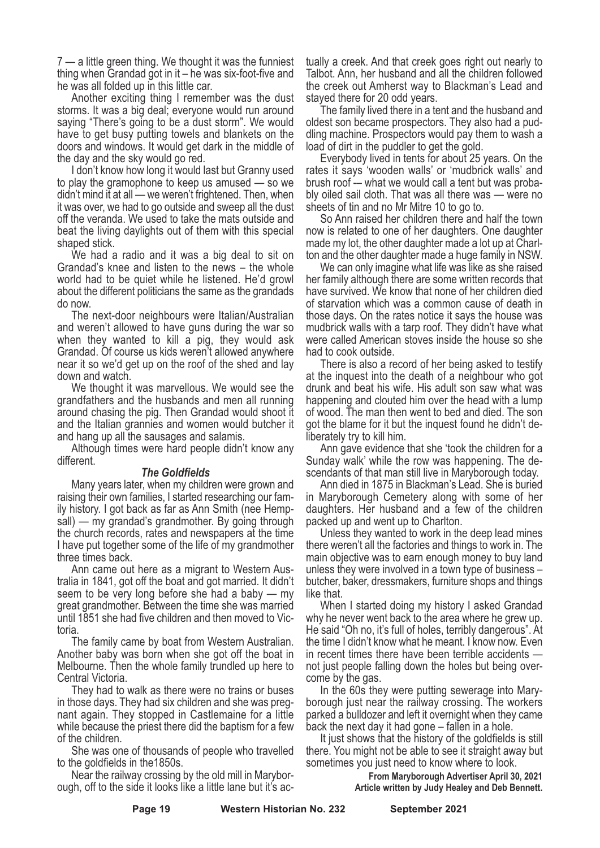7 — a little green thing. We thought it was the funniest thing when Grandad got in it – he was six-foot-five and he was all folded up in this little car. Another exciting thing <sup>I</sup> remember was the dust

storms. It was a big deal; everyone would run around saying "There's going to be a dust storm". We would have to get busy putting towels and blankets on the doors and windows. It would get dark in the middle of

the day and the sky would go red.<br>I don't know how long it would last but Granny used to play the gramophone to keep us amused — so we didn't mind it at all — we weren't frightened. Then, when it was over, we had to go outside and sweep all the dust off the veranda. We used to take the mats outside and beat the living daylights out of them with this special shaped stick.

We had a radio and it was a big deal to sit on Grandad's knee and listen to the news – the whole world had to be quiet while he listened. He'd growl about the different politicians the same as the grandads do now.

The next-door neighbours were Italian/Australian and weren't allowed to have guns during the war so when they wanted to kill a pig, they would ask Grandad. Of course us kids weren't allowed anywhere near it so we'd get up on the roof of the shed and lay down and watch.

We thought it was marvellous. We would see the grandfathers and the husbands and men all running around chasing the pig. Then Grandad would shoot it and the Italian grannies and women would butcher it

Although times were hard people didn't know any different.

#### *The Goldfields*

Many years later, when my children were grown and raising their own families, I started researching our family history. I got back as far as Ann Smith (nee Hempsall) — my grandad's grandmother. By going through the church records, rates and newspapers at the time I have put together some of the life of my grandmother three times back.

Ann came out here as a migrant to Western Australia in 1841, got off the boat and got married. It didn't seem to be very long before she had a baby — my great grandmother. Between the time she was married until <sup>1851</sup> she had five children and then moved to Vic- toria.

The family came by boat from Western Australian. Another baby was born when she got off the boat in Melbourne. Then the whole family trundled up here to Central Victoria.

They had to walk as there were no trains or buses in those days. They had six children and she was pregnant again. They stopped in Castlemaine for a little while because the priest there did the baptism for a few of the children.

She was one of thousands of people who travelled

to the goldfields in the1850s. Near the railway crossing by the old mill in Marybor- ough, off to the side it looks like <sup>a</sup> little lane but it's ac-

tually a creek. And that creek goes right out nearly to Talbot. Ann, her husband and all the children followed the creek out Amherst way to Blackman's Lead and stayed there for 20 odd years.

The family lived there in a tent and the husband and oldest son became prospectors. They also had a puddling machine. Prospectors would pay them to wash a load of dirt in the puddler to get the gold.

Everybody lived in tents for about 25 years. On the rates it says 'wooden walls' or 'mudbrick walls' and brush roof -– what we would call a tent but was probably oiled sail cloth. That was all there was — were no sheets of tin and no Mr Mitre 10 to go to.

So Ann raised her children there and half the town now is related to one of her daughters. One daughter made my lot, the other daughter made a lot up at Charlton and the other daughter made a huge family in NSW.

We can only imagine what life was like as she raised her family although there are some written records that have survived. We know that none of her children died of starvation which was a common cause of death in those days. On the rates notice it says the house was mudbrick walls with a tarp roof. They didn't have what were called American stoves inside the house so she had to cook outside.

There is also a record of her being asked to testify at the inquest into the death of a neighbour who got drunk and beat his wife. His adult son saw what was happening and clouted him over the head with a lump of wood. The man then went to bed and died. The son got the blame for it but the inquest found he didn't de-

liberately try to kill him. Ann gave evidence that she 'took the children for <sup>a</sup> Sunday walk' while the row was happening. The de- scendants of that man still live in Maryborough today. Ann died in <sup>1875</sup> in Blackman's Lead. She is buried

in Maryborough Cemetery along with some of her daughters. Her husband and a few of the children packed up and went up to Charlton.

Unless they wanted to work in the deep lead mines there weren't all the factories and things to work in. The main objective was to earn enough money to buy land unless they were involved in a town type of business – butcher, baker, dressmakers, furniture shops and things like that.

When I started doing my history I asked Grandad why he never went back to the area where he grew up. He said "Oh no, it's full of holes, terribly dangerous". At the time I didn't know what he meant. I know now. Even in recent times there have been terrible accidents —<br>not just people falling down the holes but being over-<br>come by the gas.<br>In the 60s they were putting sewerage into Mary-<br>borough just near the railway crossing. The work

parked a bulldozer and left it overnight when they came

back the next day it had gone – fallen in a hole.<br>It just shows that the history of the goldfields is still there. You might not be able to see it straight away but sometimes you just need to know where to look.

> **From Maryborough Advertiser April 30, 2021 Article written by Judy Healey and Deb Bennett.**

**Page 19 Western Historian No. 232 September 2021**